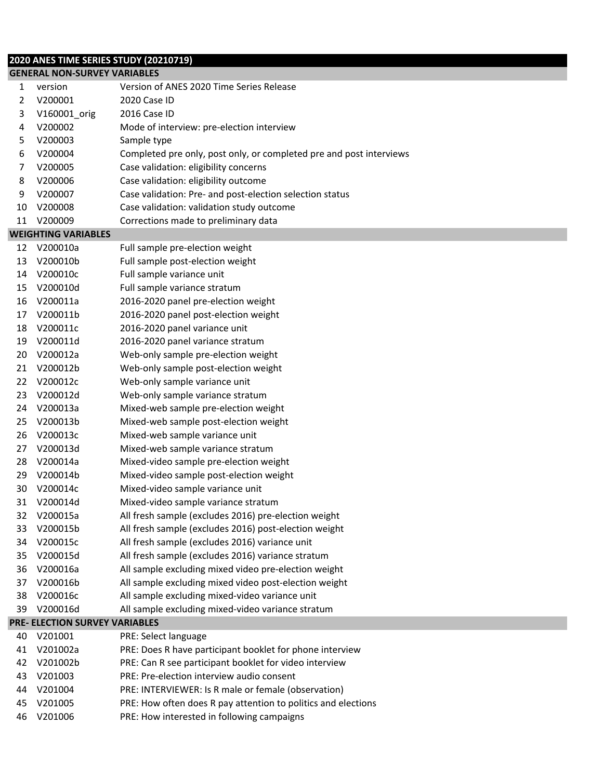## **2020 ANES TIME SERIES STUDY (20210719)**

|    | <b>GENERAL NON-SURVEY VARIABLES</b> |                                                                     |  |  |  |
|----|-------------------------------------|---------------------------------------------------------------------|--|--|--|
| 1  | version                             | Version of ANES 2020 Time Series Release                            |  |  |  |
| 2  | V200001                             | 2020 Case ID                                                        |  |  |  |
| 3  | V160001_orig                        | 2016 Case ID                                                        |  |  |  |
| 4  | V200002                             | Mode of interview: pre-election interview                           |  |  |  |
| 5  | V200003                             | Sample type                                                         |  |  |  |
| 6  | V200004                             | Completed pre only, post only, or completed pre and post interviews |  |  |  |
| 7  | V200005                             | Case validation: eligibility concerns                               |  |  |  |
| 8  | V200006                             | Case validation: eligibility outcome                                |  |  |  |
| 9  | V200007                             | Case validation: Pre- and post-election selection status            |  |  |  |
| 10 | V200008                             | Case validation: validation study outcome                           |  |  |  |
| 11 | V200009                             | Corrections made to preliminary data                                |  |  |  |
|    | <b>WEIGHTING VARIABLES</b>          |                                                                     |  |  |  |
| 12 | V200010a                            | Full sample pre-election weight                                     |  |  |  |
| 13 | V200010b                            | Full sample post-election weight                                    |  |  |  |
| 14 | V200010c                            | Full sample variance unit                                           |  |  |  |
| 15 | V200010d                            | Full sample variance stratum                                        |  |  |  |
| 16 | V200011a                            | 2016-2020 panel pre-election weight                                 |  |  |  |
| 17 | V200011b                            | 2016-2020 panel post-election weight                                |  |  |  |
| 18 | V200011c                            | 2016-2020 panel variance unit                                       |  |  |  |
| 19 | V200011d                            | 2016-2020 panel variance stratum                                    |  |  |  |
| 20 | V200012a                            | Web-only sample pre-election weight                                 |  |  |  |
| 21 | V200012b                            | Web-only sample post-election weight                                |  |  |  |
| 22 | V200012c                            | Web-only sample variance unit                                       |  |  |  |
| 23 | V200012d                            | Web-only sample variance stratum                                    |  |  |  |
| 24 | V200013a                            | Mixed-web sample pre-election weight                                |  |  |  |
| 25 | V200013b                            | Mixed-web sample post-election weight                               |  |  |  |
| 26 | V200013c                            | Mixed-web sample variance unit                                      |  |  |  |
| 27 | V200013d                            | Mixed-web sample variance stratum                                   |  |  |  |
| 28 | V200014a                            | Mixed-video sample pre-election weight                              |  |  |  |
| 29 | V200014b                            | Mixed-video sample post-election weight                             |  |  |  |
| 30 | V200014c                            | Mixed-video sample variance unit                                    |  |  |  |
| 31 | V200014d                            | Mixed-video sample variance stratum                                 |  |  |  |
| 32 | V200015a                            | All fresh sample (excludes 2016) pre-election weight                |  |  |  |
| 33 | V200015b                            | All fresh sample (excludes 2016) post-election weight               |  |  |  |
| 34 | V200015c                            | All fresh sample (excludes 2016) variance unit                      |  |  |  |
| 35 | V200015d                            | All fresh sample (excludes 2016) variance stratum                   |  |  |  |
| 36 | V200016a                            | All sample excluding mixed video pre-election weight                |  |  |  |
| 37 | V200016b                            | All sample excluding mixed video post-election weight               |  |  |  |
| 38 | V200016c                            | All sample excluding mixed-video variance unit                      |  |  |  |
| 39 | V200016d                            | All sample excluding mixed-video variance stratum                   |  |  |  |
|    | PRE- ELECTION SURVEY VARIABLES      |                                                                     |  |  |  |
| 40 | V201001                             | PRE: Select language                                                |  |  |  |
| 41 | V201002a                            | PRE: Does R have participant booklet for phone interview            |  |  |  |
| 42 | V201002b                            | PRE: Can R see participant booklet for video interview              |  |  |  |
| 43 | V201003                             | PRE: Pre-election interview audio consent                           |  |  |  |
| 44 | V201004                             | PRE: INTERVIEWER: Is R male or female (observation)                 |  |  |  |
| 45 | V201005                             | PRE: How often does R pay attention to politics and elections       |  |  |  |
| 46 | V201006                             | PRE: How interested in following campaigns                          |  |  |  |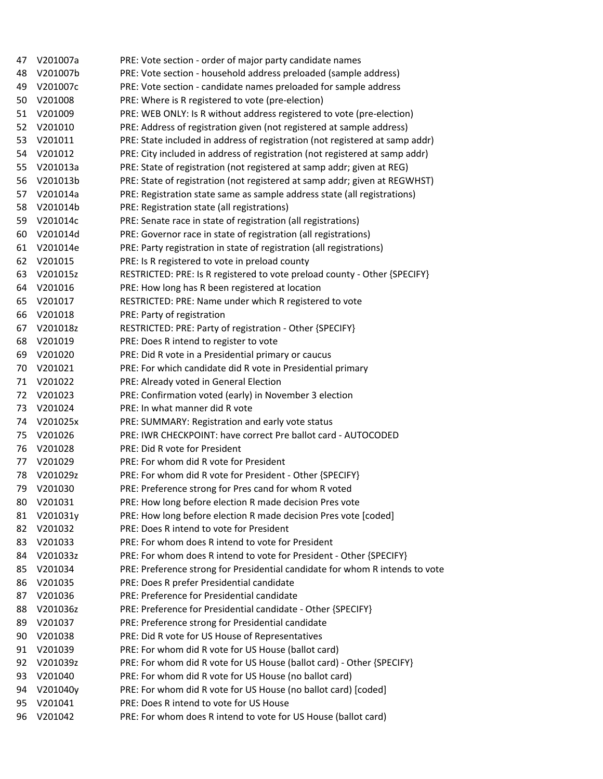| 47 | V201007a           | PRE: Vote section - order of major party candidate names                     |
|----|--------------------|------------------------------------------------------------------------------|
| 48 | V201007b           | PRE: Vote section - household address preloaded (sample address)             |
| 49 | V201007c           | PRE: Vote section - candidate names preloaded for sample address             |
| 50 | V201008            | PRE: Where is R registered to vote (pre-election)                            |
| 51 | V201009            | PRE: WEB ONLY: Is R without address registered to vote (pre-election)        |
| 52 | V201010            | PRE: Address of registration given (not registered at sample address)        |
| 53 | V201011            | PRE: State included in address of registration (not registered at samp addr) |
| 54 | V201012            | PRE: City included in address of registration (not registered at samp addr)  |
| 55 | V201013a           | PRE: State of registration (not registered at samp addr; given at REG)       |
| 56 | V201013b           | PRE: State of registration (not registered at samp addr; given at REGWHST)   |
| 57 | V201014a           | PRE: Registration state same as sample address state (all registrations)     |
| 58 | V201014b           | PRE: Registration state (all registrations)                                  |
| 59 | V201014c           | PRE: Senate race in state of registration (all registrations)                |
| 60 | V201014d           | PRE: Governor race in state of registration (all registrations)              |
| 61 | V201014e           | PRE: Party registration in state of registration (all registrations)         |
| 62 | V201015            | PRE: Is R registered to vote in preload county                               |
| 63 | V201015z           | RESTRICTED: PRE: Is R registered to vote preload county - Other {SPECIFY}    |
| 64 | V201016            | PRE: How long has R been registered at location                              |
| 65 | V201017            | RESTRICTED: PRE: Name under which R registered to vote                       |
| 66 | V201018            | PRE: Party of registration                                                   |
| 67 | V201018z           | RESTRICTED: PRE: Party of registration - Other {SPECIFY}                     |
| 68 | V201019            | PRE: Does R intend to register to vote                                       |
| 69 | V201020            | PRE: Did R vote in a Presidential primary or caucus                          |
| 70 | V201021            | PRE: For which candidate did R vote in Presidential primary                  |
| 71 | V201022            | PRE: Already voted in General Election                                       |
| 72 | V201023            | PRE: Confirmation voted (early) in November 3 election                       |
| 73 | V201024            | PRE: In what manner did R vote                                               |
| 74 | V201025x           | PRE: SUMMARY: Registration and early vote status                             |
| 75 | V201026            | PRE: IWR CHECKPOINT: have correct Pre ballot card - AUTOCODED                |
| 76 | V201028            | PRE: Did R vote for President                                                |
| 77 | V201029            | PRE: For whom did R vote for President                                       |
| 78 | V201029z           | PRE: For whom did R vote for President - Other {SPECIFY}                     |
| 79 | V201030            | PRE: Preference strong for Pres cand for whom R voted                        |
| 80 | V201031            | PRE: How long before election R made decision Pres vote                      |
| 81 | V201031y           | PRE: How long before election R made decision Pres vote [coded]              |
| 82 | V201032            | PRE: Does R intend to vote for President                                     |
| 83 | V201033            | PRE: For whom does R intend to vote for President                            |
| 84 | V201033z           | PRE: For whom does R intend to vote for President - Other {SPECIFY}          |
| 85 | V201034            | PRE: Preference strong for Presidential candidate for whom R intends to vote |
| 86 | V201035            | PRE: Does R prefer Presidential candidate                                    |
| 87 | V201036            | PRE: Preference for Presidential candidate                                   |
| 88 | V201036z           | PRE: Preference for Presidential candidate - Other {SPECIFY}                 |
| 89 | V201037            | PRE: Preference strong for Presidential candidate                            |
| 90 |                    | PRE: Did R vote for US House of Representatives                              |
|    | V201038<br>V201039 | PRE: For whom did R vote for US House (ballot card)                          |
| 91 |                    |                                                                              |
| 92 | V201039z           | PRE: For whom did R vote for US House (ballot card) - Other {SPECIFY}        |
| 93 | V201040            | PRE: For whom did R vote for US House (no ballot card)                       |
| 94 | V201040y           | PRE: For whom did R vote for US House (no ballot card) [coded]               |
| 95 | V201041            | PRE: Does R intend to vote for US House                                      |
| 96 | V201042            | PRE: For whom does R intend to vote for US House (ballot card)               |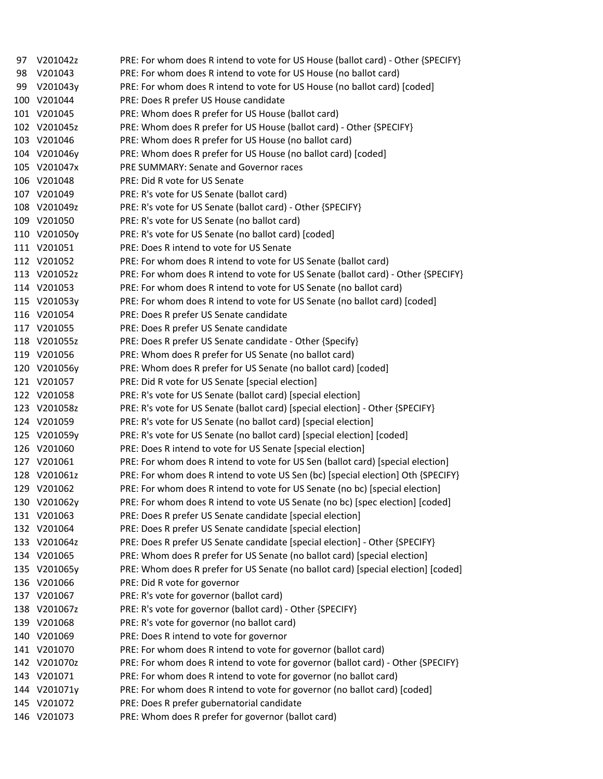| 97  | V201042z     | PRE: For whom does R intend to vote for US House (ballot card) - Other {SPECIFY}  |
|-----|--------------|-----------------------------------------------------------------------------------|
| 98  | V201043      | PRE: For whom does R intend to vote for US House (no ballot card)                 |
| 99  | V201043y     | PRE: For whom does R intend to vote for US House (no ballot card) [coded]         |
| 100 | V201044      | PRE: Does R prefer US House candidate                                             |
|     | 101 V201045  | PRE: Whom does R prefer for US House (ballot card)                                |
|     | 102 V201045z | PRE: Whom does R prefer for US House (ballot card) - Other {SPECIFY}              |
|     | 103 V201046  | PRE: Whom does R prefer for US House (no ballot card)                             |
|     | 104 V201046y | PRE: Whom does R prefer for US House (no ballot card) [coded]                     |
|     | 105 V201047x | PRE SUMMARY: Senate and Governor races                                            |
|     | 106 V201048  | PRE: Did R vote for US Senate                                                     |
|     | 107 V201049  | PRE: R's vote for US Senate (ballot card)                                         |
|     | 108 V201049z | PRE: R's vote for US Senate (ballot card) - Other {SPECIFY}                       |
|     | 109 V201050  | PRE: R's vote for US Senate (no ballot card)                                      |
|     | 110 V201050y | PRE: R's vote for US Senate (no ballot card) [coded]                              |
|     | 111 V201051  | PRE: Does R intend to vote for US Senate                                          |
|     | 112 V201052  | PRE: For whom does R intend to vote for US Senate (ballot card)                   |
|     | 113 V201052z | PRE: For whom does R intend to vote for US Senate (ballot card) - Other {SPECIFY} |
|     | 114 V201053  | PRE: For whom does R intend to vote for US Senate (no ballot card)                |
|     | 115 V201053y | PRE: For whom does R intend to vote for US Senate (no ballot card) [coded]        |
|     | 116 V201054  | PRE: Does R prefer US Senate candidate                                            |
|     | 117 V201055  | PRE: Does R prefer US Senate candidate                                            |
|     | 118 V201055z | PRE: Does R prefer US Senate candidate - Other {Specify}                          |
|     | 119 V201056  | PRE: Whom does R prefer for US Senate (no ballot card)                            |
|     | 120 V201056y | PRE: Whom does R prefer for US Senate (no ballot card) [coded]                    |
|     | 121 V201057  | PRE: Did R vote for US Senate [special election]                                  |
|     | 122 V201058  | PRE: R's vote for US Senate (ballot card) [special election]                      |
|     | 123 V201058z | PRE: R's vote for US Senate (ballot card) [special election] - Other {SPECIFY}    |
|     | 124 V201059  | PRE: R's vote for US Senate (no ballot card) [special election]                   |
|     | 125 V201059y | PRE: R's vote for US Senate (no ballot card) [special election] [coded]           |
|     | 126 V201060  | PRE: Does R intend to vote for US Senate [special election]                       |
|     | 127 V201061  | PRE: For whom does R intend to vote for US Sen (ballot card) [special election]   |
|     | 128 V201061z | PRE: For whom does R intend to vote US Sen (bc) [special election] Oth {SPECIFY}  |
|     | 129 V201062  | PRE: For whom does R intend to vote for US Senate (no bc) [special election]      |
|     | 130 V201062y | PRE: For whom does R intend to vote US Senate (no bc) [spec election] [coded]     |
| 131 | V201063      | PRE: Does R prefer US Senate candidate [special election]                         |
|     | 132 V201064  | PRE: Does R prefer US Senate candidate [special election]                         |
| 133 | V201064z     | PRE: Does R prefer US Senate candidate [special election] - Other {SPECIFY}       |
| 134 | V201065      | PRE: Whom does R prefer for US Senate (no ballot card) [special election]         |
| 135 | V201065y     | PRE: Whom does R prefer for US Senate (no ballot card) [special election] [coded] |
| 136 | V201066      | PRE: Did R vote for governor                                                      |
|     | 137 V201067  | PRE: R's vote for governor (ballot card)                                          |
| 138 | V201067z     | PRE: R's vote for governor (ballot card) - Other {SPECIFY}                        |
|     | 139 V201068  | PRE: R's vote for governor (no ballot card)                                       |
| 140 | V201069      | PRE: Does R intend to vote for governor                                           |
| 141 | V201070      | PRE: For whom does R intend to vote for governor (ballot card)                    |
| 142 | V201070z     | PRE: For whom does R intend to vote for governor (ballot card) - Other {SPECIFY}  |
| 143 | V201071      | PRE: For whom does R intend to vote for governor (no ballot card)                 |
|     | 144 V201071y | PRE: For whom does R intend to vote for governor (no ballot card) [coded]         |
| 145 | V201072      | PRE: Does R prefer gubernatorial candidate                                        |
|     | 146 V201073  | PRE: Whom does R prefer for governor (ballot card)                                |
|     |              |                                                                                   |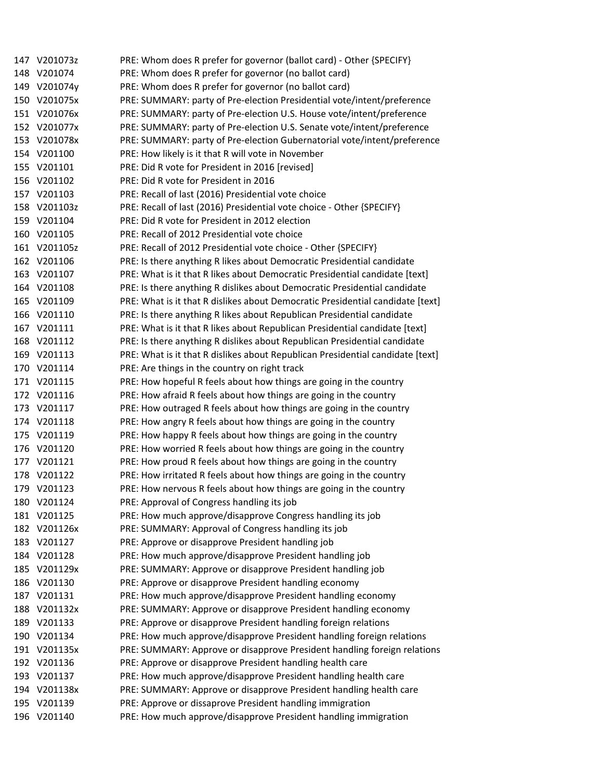| 147 V201073z | PRE: Whom does R prefer for governor (ballot card) - Other {SPECIFY}                                                                                                                                                                                                                                                                                                                                                                                                                                                                                                                                                                                                                                                                                |
|--------------|-----------------------------------------------------------------------------------------------------------------------------------------------------------------------------------------------------------------------------------------------------------------------------------------------------------------------------------------------------------------------------------------------------------------------------------------------------------------------------------------------------------------------------------------------------------------------------------------------------------------------------------------------------------------------------------------------------------------------------------------------------|
|              | PRE: Whom does R prefer for governor (no ballot card)                                                                                                                                                                                                                                                                                                                                                                                                                                                                                                                                                                                                                                                                                               |
|              | PRE: Whom does R prefer for governor (no ballot card)                                                                                                                                                                                                                                                                                                                                                                                                                                                                                                                                                                                                                                                                                               |
|              | PRE: SUMMARY: party of Pre-election Presidential vote/intent/preference                                                                                                                                                                                                                                                                                                                                                                                                                                                                                                                                                                                                                                                                             |
|              | PRE: SUMMARY: party of Pre-election U.S. House vote/intent/preference                                                                                                                                                                                                                                                                                                                                                                                                                                                                                                                                                                                                                                                                               |
|              | PRE: SUMMARY: party of Pre-election U.S. Senate vote/intent/preference                                                                                                                                                                                                                                                                                                                                                                                                                                                                                                                                                                                                                                                                              |
|              | PRE: SUMMARY: party of Pre-election Gubernatorial vote/intent/preference                                                                                                                                                                                                                                                                                                                                                                                                                                                                                                                                                                                                                                                                            |
|              | PRE: How likely is it that R will vote in November                                                                                                                                                                                                                                                                                                                                                                                                                                                                                                                                                                                                                                                                                                  |
|              | PRE: Did R vote for President in 2016 [revised]                                                                                                                                                                                                                                                                                                                                                                                                                                                                                                                                                                                                                                                                                                     |
|              | PRE: Did R vote for President in 2016                                                                                                                                                                                                                                                                                                                                                                                                                                                                                                                                                                                                                                                                                                               |
|              | PRE: Recall of last (2016) Presidential vote choice                                                                                                                                                                                                                                                                                                                                                                                                                                                                                                                                                                                                                                                                                                 |
|              | PRE: Recall of last (2016) Presidential vote choice - Other {SPECIFY}                                                                                                                                                                                                                                                                                                                                                                                                                                                                                                                                                                                                                                                                               |
|              | PRE: Did R vote for President in 2012 election                                                                                                                                                                                                                                                                                                                                                                                                                                                                                                                                                                                                                                                                                                      |
|              | PRE: Recall of 2012 Presidential vote choice                                                                                                                                                                                                                                                                                                                                                                                                                                                                                                                                                                                                                                                                                                        |
|              | PRE: Recall of 2012 Presidential vote choice - Other {SPECIFY}                                                                                                                                                                                                                                                                                                                                                                                                                                                                                                                                                                                                                                                                                      |
|              | PRE: Is there anything R likes about Democratic Presidential candidate                                                                                                                                                                                                                                                                                                                                                                                                                                                                                                                                                                                                                                                                              |
|              | PRE: What is it that R likes about Democratic Presidential candidate [text]                                                                                                                                                                                                                                                                                                                                                                                                                                                                                                                                                                                                                                                                         |
|              | PRE: Is there anything R dislikes about Democratic Presidential candidate                                                                                                                                                                                                                                                                                                                                                                                                                                                                                                                                                                                                                                                                           |
|              | PRE: What is it that R dislikes about Democratic Presidential candidate [text]                                                                                                                                                                                                                                                                                                                                                                                                                                                                                                                                                                                                                                                                      |
|              | PRE: Is there anything R likes about Republican Presidential candidate                                                                                                                                                                                                                                                                                                                                                                                                                                                                                                                                                                                                                                                                              |
|              | PRE: What is it that R likes about Republican Presidential candidate [text]                                                                                                                                                                                                                                                                                                                                                                                                                                                                                                                                                                                                                                                                         |
|              | PRE: Is there anything R dislikes about Republican Presidential candidate                                                                                                                                                                                                                                                                                                                                                                                                                                                                                                                                                                                                                                                                           |
|              | PRE: What is it that R dislikes about Republican Presidential candidate [text]                                                                                                                                                                                                                                                                                                                                                                                                                                                                                                                                                                                                                                                                      |
|              | PRE: Are things in the country on right track                                                                                                                                                                                                                                                                                                                                                                                                                                                                                                                                                                                                                                                                                                       |
|              | PRE: How hopeful R feels about how things are going in the country                                                                                                                                                                                                                                                                                                                                                                                                                                                                                                                                                                                                                                                                                  |
|              | PRE: How afraid R feels about how things are going in the country                                                                                                                                                                                                                                                                                                                                                                                                                                                                                                                                                                                                                                                                                   |
|              | PRE: How outraged R feels about how things are going in the country                                                                                                                                                                                                                                                                                                                                                                                                                                                                                                                                                                                                                                                                                 |
|              | PRE: How angry R feels about how things are going in the country                                                                                                                                                                                                                                                                                                                                                                                                                                                                                                                                                                                                                                                                                    |
|              | PRE: How happy R feels about how things are going in the country                                                                                                                                                                                                                                                                                                                                                                                                                                                                                                                                                                                                                                                                                    |
|              | PRE: How worried R feels about how things are going in the country                                                                                                                                                                                                                                                                                                                                                                                                                                                                                                                                                                                                                                                                                  |
|              | PRE: How proud R feels about how things are going in the country                                                                                                                                                                                                                                                                                                                                                                                                                                                                                                                                                                                                                                                                                    |
|              | PRE: How irritated R feels about how things are going in the country                                                                                                                                                                                                                                                                                                                                                                                                                                                                                                                                                                                                                                                                                |
|              | PRE: How nervous R feels about how things are going in the country                                                                                                                                                                                                                                                                                                                                                                                                                                                                                                                                                                                                                                                                                  |
|              | PRE: Approval of Congress handling its job                                                                                                                                                                                                                                                                                                                                                                                                                                                                                                                                                                                                                                                                                                          |
|              | PRE: How much approve/disapprove Congress handling its job                                                                                                                                                                                                                                                                                                                                                                                                                                                                                                                                                                                                                                                                                          |
|              | PRE: SUMMARY: Approval of Congress handling its job                                                                                                                                                                                                                                                                                                                                                                                                                                                                                                                                                                                                                                                                                                 |
|              | PRE: Approve or disapprove President handling job                                                                                                                                                                                                                                                                                                                                                                                                                                                                                                                                                                                                                                                                                                   |
|              | PRE: How much approve/disapprove President handling job                                                                                                                                                                                                                                                                                                                                                                                                                                                                                                                                                                                                                                                                                             |
|              | PRE: SUMMARY: Approve or disapprove President handling job                                                                                                                                                                                                                                                                                                                                                                                                                                                                                                                                                                                                                                                                                          |
|              | PRE: Approve or disapprove President handling economy                                                                                                                                                                                                                                                                                                                                                                                                                                                                                                                                                                                                                                                                                               |
|              | PRE: How much approve/disapprove President handling economy                                                                                                                                                                                                                                                                                                                                                                                                                                                                                                                                                                                                                                                                                         |
|              | PRE: SUMMARY: Approve or disapprove President handling economy                                                                                                                                                                                                                                                                                                                                                                                                                                                                                                                                                                                                                                                                                      |
|              | PRE: Approve or disapprove President handling foreign relations                                                                                                                                                                                                                                                                                                                                                                                                                                                                                                                                                                                                                                                                                     |
|              | PRE: How much approve/disapprove President handling foreign relations                                                                                                                                                                                                                                                                                                                                                                                                                                                                                                                                                                                                                                                                               |
|              | PRE: SUMMARY: Approve or disapprove President handling foreign relations                                                                                                                                                                                                                                                                                                                                                                                                                                                                                                                                                                                                                                                                            |
|              | PRE: Approve or disapprove President handling health care                                                                                                                                                                                                                                                                                                                                                                                                                                                                                                                                                                                                                                                                                           |
| V201137      | PRE: How much approve/disapprove President handling health care                                                                                                                                                                                                                                                                                                                                                                                                                                                                                                                                                                                                                                                                                     |
|              | PRE: SUMMARY: Approve or disapprove President handling health care                                                                                                                                                                                                                                                                                                                                                                                                                                                                                                                                                                                                                                                                                  |
|              | PRE: Approve or dissaprove President handling immigration                                                                                                                                                                                                                                                                                                                                                                                                                                                                                                                                                                                                                                                                                           |
|              |                                                                                                                                                                                                                                                                                                                                                                                                                                                                                                                                                                                                                                                                                                                                                     |
|              | 148 V201074<br>149 V201074y<br>150 V201075x<br>151 V201076x<br>152 V201077x<br>153 V201078x<br>154 V201100<br>155 V201101<br>156 V201102<br>157 V201103<br>158 V201103z<br>159 V201104<br>160 V201105<br>161 V201105z<br>162 V201106<br>163 V201107<br>164 V201108<br>165 V201109<br>166 V201110<br>167 V201111<br>168 V201112<br>169 V201113<br>170 V201114<br>171 V201115<br>172 V201116<br>173 V201117<br>174 V201118<br>175 V201119<br>176 V201120<br>177 V201121<br>178 V201122<br>179 V201123<br>180 V201124<br>181 V201125<br>182 V201126x<br>183 V201127<br>184 V201128<br>V201129x<br>185<br>186 V201130<br>187 V201131<br>188 V201132x<br>189 V201133<br>190 V201134<br>191 V201135x<br>192 V201136<br>193<br>194 V201138x<br>195 V201139 |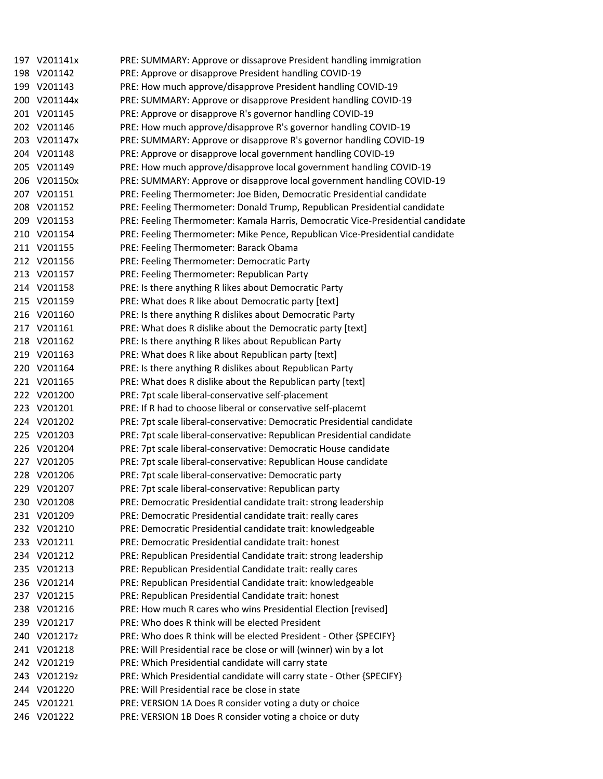|     | 197 V201141x | PRE: SUMMARY: Approve or dissaprove President handling immigration              |
|-----|--------------|---------------------------------------------------------------------------------|
|     | 198 V201142  | PRE: Approve or disapprove President handling COVID-19                          |
|     | 199 V201143  | PRE: How much approve/disapprove President handling COVID-19                    |
|     | 200 V201144x | PRE: SUMMARY: Approve or disapprove President handling COVID-19                 |
|     | 201 V201145  | PRE: Approve or disapprove R's governor handling COVID-19                       |
|     | 202 V201146  | PRE: How much approve/disapprove R's governor handling COVID-19                 |
|     | 203 V201147x | PRE: SUMMARY: Approve or disapprove R's governor handling COVID-19              |
|     | 204 V201148  | PRE: Approve or disapprove local government handling COVID-19                   |
|     | 205 V201149  | PRE: How much approve/disapprove local government handling COVID-19             |
|     | 206 V201150x | PRE: SUMMARY: Approve or disapprove local government handling COVID-19          |
|     | 207 V201151  | PRE: Feeling Thermometer: Joe Biden, Democratic Presidential candidate          |
|     | 208 V201152  | PRE: Feeling Thermometer: Donald Trump, Republican Presidential candidate       |
|     | 209 V201153  | PRE: Feeling Thermometer: Kamala Harris, Democratic Vice-Presidential candidate |
|     | 210 V201154  | PRE: Feeling Thermometer: Mike Pence, Republican Vice-Presidential candidate    |
|     | 211 V201155  | PRE: Feeling Thermometer: Barack Obama                                          |
|     | 212 V201156  | PRE: Feeling Thermometer: Democratic Party                                      |
|     | 213 V201157  | PRE: Feeling Thermometer: Republican Party                                      |
|     | 214 V201158  | PRE: Is there anything R likes about Democratic Party                           |
|     | 215 V201159  | PRE: What does R like about Democratic party [text]                             |
|     | 216 V201160  | PRE: Is there anything R dislikes about Democratic Party                        |
|     | 217 V201161  | PRE: What does R dislike about the Democratic party [text]                      |
|     | 218 V201162  | PRE: Is there anything R likes about Republican Party                           |
|     | 219 V201163  | PRE: What does R like about Republican party [text]                             |
|     | 220 V201164  | PRE: Is there anything R dislikes about Republican Party                        |
|     | 221 V201165  | PRE: What does R dislike about the Republican party [text]                      |
|     | 222 V201200  | PRE: 7pt scale liberal-conservative self-placement                              |
|     | 223 V201201  | PRE: If R had to choose liberal or conservative self-placemt                    |
|     | 224 V201202  | PRE: 7pt scale liberal-conservative: Democratic Presidential candidate          |
|     | 225 V201203  | PRE: 7pt scale liberal-conservative: Republican Presidential candidate          |
|     | 226 V201204  | PRE: 7pt scale liberal-conservative: Democratic House candidate                 |
|     | 227 V201205  | PRE: 7pt scale liberal-conservative: Republican House candidate                 |
|     | 228 V201206  | PRE: 7pt scale liberal-conservative: Democratic party                           |
|     | 229 V201207  | PRE: 7pt scale liberal-conservative: Republican party                           |
|     | 230 V201208  | PRE: Democratic Presidential candidate trait: strong leadership                 |
|     | 231 V201209  | PRE: Democratic Presidential candidate trait: really cares                      |
|     | 232 V201210  | PRE: Democratic Presidential candidate trait: knowledgeable                     |
|     | 233 V201211  | PRE: Democratic Presidential candidate trait: honest                            |
|     | 234 V201212  | PRE: Republican Presidential Candidate trait: strong leadership                 |
|     | 235 V201213  | PRE: Republican Presidential Candidate trait: really cares                      |
|     | 236 V201214  | PRE: Republican Presidential Candidate trait: knowledgeable                     |
|     | 237 V201215  | PRE: Republican Presidential Candidate trait: honest                            |
|     | 238 V201216  | PRE: How much R cares who wins Presidential Election [revised]                  |
|     | 239 V201217  | PRE: Who does R think will be elected President                                 |
|     | 240 V201217z | PRE: Who does R think will be elected President - Other {SPECIFY}               |
|     | 241 V201218  | PRE: Will Presidential race be close or will (winner) win by a lot              |
|     | 242 V201219  | PRE: Which Presidential candidate will carry state                              |
| 243 | V201219z     | PRE: Which Presidential candidate will carry state - Other {SPECIFY}            |
|     | 244 V201220  | PRE: Will Presidential race be close in state                                   |
|     | 245 V201221  | PRE: VERSION 1A Does R consider voting a duty or choice                         |
|     | 246 V201222  | PRE: VERSION 1B Does R consider voting a choice or duty                         |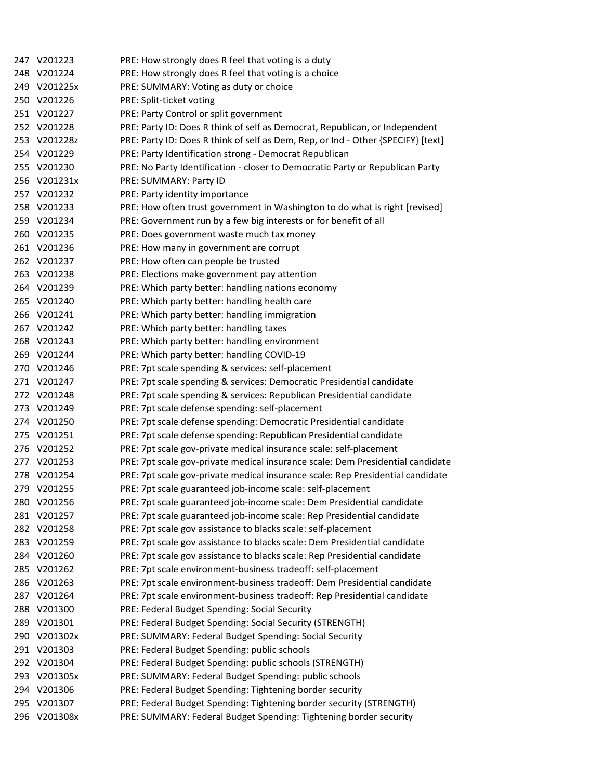|     | 247 V201223  | PRE: How strongly does R feel that voting is a duty                              |
|-----|--------------|----------------------------------------------------------------------------------|
|     | 248 V201224  | PRE: How strongly does R feel that voting is a choice                            |
|     | 249 V201225x | PRE: SUMMARY: Voting as duty or choice                                           |
|     | 250 V201226  | PRE: Split-ticket voting                                                         |
|     | 251 V201227  | PRE: Party Control or split government                                           |
|     | 252 V201228  | PRE: Party ID: Does R think of self as Democrat, Republican, or Independent      |
|     | 253 V201228z | PRE: Party ID: Does R think of self as Dem, Rep, or Ind - Other {SPECIFY} [text] |
|     | 254 V201229  | PRE: Party Identification strong - Democrat Republican                           |
|     | 255 V201230  | PRE: No Party Identification - closer to Democratic Party or Republican Party    |
|     | 256 V201231x | PRE: SUMMARY: Party ID                                                           |
|     | 257 V201232  | PRE: Party identity importance                                                   |
|     | 258 V201233  | PRE: How often trust government in Washington to do what is right [revised]      |
|     | 259 V201234  | PRE: Government run by a few big interests or for benefit of all                 |
|     | 260 V201235  | PRE: Does government waste much tax money                                        |
|     | 261 V201236  | PRE: How many in government are corrupt                                          |
|     | 262 V201237  | PRE: How often can people be trusted                                             |
|     | 263 V201238  | PRE: Elections make government pay attention                                     |
|     | 264 V201239  | PRE: Which party better: handling nations economy                                |
|     | 265 V201240  | PRE: Which party better: handling health care                                    |
|     | 266 V201241  | PRE: Which party better: handling immigration                                    |
|     | 267 V201242  | PRE: Which party better: handling taxes                                          |
|     | 268 V201243  | PRE: Which party better: handling environment                                    |
|     | 269 V201244  | PRE: Which party better: handling COVID-19                                       |
|     | 270 V201246  | PRE: 7pt scale spending & services: self-placement                               |
|     | 271 V201247  | PRE: 7pt scale spending & services: Democratic Presidential candidate            |
|     | 272 V201248  | PRE: 7pt scale spending & services: Republican Presidential candidate            |
|     | 273 V201249  | PRE: 7pt scale defense spending: self-placement                                  |
|     | 274 V201250  | PRE: 7pt scale defense spending: Democratic Presidential candidate               |
|     | 275 V201251  | PRE: 7pt scale defense spending: Republican Presidential candidate               |
|     | 276 V201252  | PRE: 7pt scale gov-private medical insurance scale: self-placement               |
|     | 277 V201253  | PRE: 7pt scale gov-private medical insurance scale: Dem Presidential candidate   |
|     | 278 V201254  | PRE: 7pt scale gov-private medical insurance scale: Rep Presidential candidate   |
|     | 279 V201255  | PRE: 7pt scale guaranteed job-income scale: self-placement                       |
|     | 280 V201256  | PRE: 7pt scale guaranteed job-income scale: Dem Presidential candidate           |
|     | 281 V201257  | PRE: 7pt scale guaranteed job-income scale: Rep Presidential candidate           |
|     | 282 V201258  | PRE: 7pt scale gov assistance to blacks scale: self-placement                    |
|     | 283 V201259  | PRE: 7pt scale gov assistance to blacks scale: Dem Presidential candidate        |
|     | 284 V201260  | PRE: 7pt scale gov assistance to blacks scale: Rep Presidential candidate        |
| 285 | V201262      | PRE: 7pt scale environment-business tradeoff: self-placement                     |
| 286 | V201263      | PRE: 7pt scale environment-business tradeoff: Dem Presidential candidate         |
|     | 287 V201264  | PRE: 7pt scale environment-business tradeoff: Rep Presidential candidate         |
| 288 | V201300      | PRE: Federal Budget Spending: Social Security                                    |
| 289 | V201301      | PRE: Federal Budget Spending: Social Security (STRENGTH)                         |
|     | 290 V201302x | PRE: SUMMARY: Federal Budget Spending: Social Security                           |
|     | 291 V201303  | PRE: Federal Budget Spending: public schools                                     |
|     | 292 V201304  | PRE: Federal Budget Spending: public schools (STRENGTH)                          |
| 293 | V201305x     | PRE: SUMMARY: Federal Budget Spending: public schools                            |
|     | 294 V201306  | PRE: Federal Budget Spending: Tightening border security                         |
| 295 | V201307      | PRE: Federal Budget Spending: Tightening border security (STRENGTH)              |
|     | 296 V201308x | PRE: SUMMARY: Federal Budget Spending: Tightening border security                |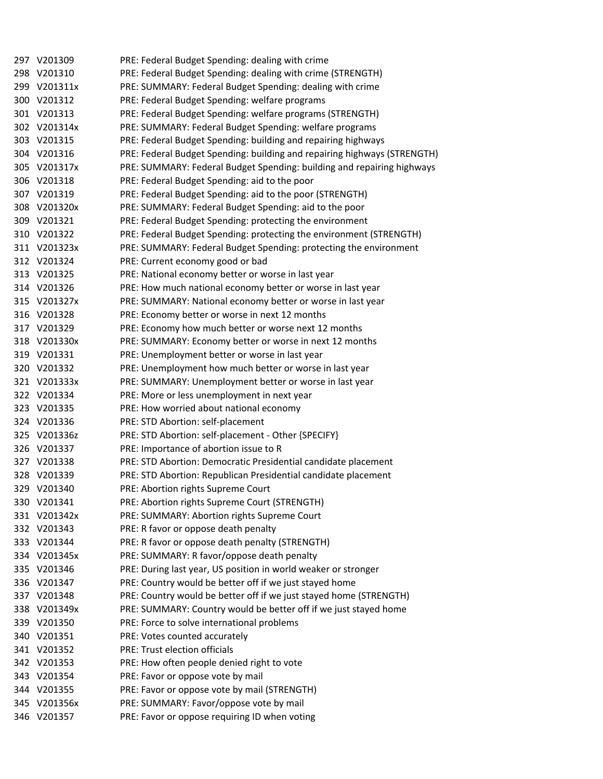| 297 V201309  | PRE: Federal Budget Spending: dealing with crime                         |
|--------------|--------------------------------------------------------------------------|
| 298 V201310  | PRE: Federal Budget Spending: dealing with crime (STRENGTH)              |
| 299 V201311x | PRE: SUMMARY: Federal Budget Spending: dealing with crime                |
| 300 V201312  | PRE: Federal Budget Spending: welfare programs                           |
| 301 V201313  | PRE: Federal Budget Spending: welfare programs (STRENGTH)                |
| 302 V201314x | PRE: SUMMARY: Federal Budget Spending: welfare programs                  |
| 303 V201315  | PRE: Federal Budget Spending: building and repairing highways            |
| 304 V201316  | PRE: Federal Budget Spending: building and repairing highways (STRENGTH) |
| 305 V201317x | PRE: SUMMARY: Federal Budget Spending: building and repairing highways   |
| 306 V201318  | PRE: Federal Budget Spending: aid to the poor                            |
| 307 V201319  | PRE: Federal Budget Spending: aid to the poor (STRENGTH)                 |
| 308 V201320x | PRE: SUMMARY: Federal Budget Spending: aid to the poor                   |
| 309 V201321  | PRE: Federal Budget Spending: protecting the environment                 |
| 310 V201322  | PRE: Federal Budget Spending: protecting the environment (STRENGTH)      |
| 311 V201323x | PRE: SUMMARY: Federal Budget Spending: protecting the environment        |
| 312 V201324  | PRE: Current economy good or bad                                         |
| 313 V201325  | PRE: National economy better or worse in last year                       |
| 314 V201326  | PRE: How much national economy better or worse in last year              |
| 315 V201327x | PRE: SUMMARY: National economy better or worse in last year              |
| 316 V201328  | PRE: Economy better or worse in next 12 months                           |
| 317 V201329  | PRE: Economy how much better or worse next 12 months                     |
| 318 V201330x | PRE: SUMMARY: Economy better or worse in next 12 months                  |
| 319 V201331  | PRE: Unemployment better or worse in last year                           |
| 320 V201332  | PRE: Unemployment how much better or worse in last year                  |
| 321 V201333x | PRE: SUMMARY: Unemployment better or worse in last year                  |
| 322 V201334  | PRE: More or less unemployment in next year                              |
| 323 V201335  | PRE: How worried about national economy                                  |
| 324 V201336  | PRE: STD Abortion: self-placement                                        |
| 325 V201336z | PRE: STD Abortion: self-placement - Other {SPECIFY}                      |
| 326 V201337  | PRE: Importance of abortion issue to R                                   |
| 327 V201338  | PRE: STD Abortion: Democratic Presidential candidate placement           |
| 328 V201339  | PRE: STD Abortion: Republican Presidential candidate placement           |
| 329 V201340  | PRE: Abortion rights Supreme Court                                       |
| 330 V201341  | PRE: Abortion rights Supreme Court (STRENGTH)                            |
| 331 V201342x | PRE: SUMMARY: Abortion rights Supreme Court                              |
| 332 V201343  | PRE: R favor or oppose death penalty                                     |
| 333 V201344  | PRE: R favor or oppose death penalty (STRENGTH)                          |
| 334 V201345x | PRE: SUMMARY: R favor/oppose death penalty                               |
| 335 V201346  | PRE: During last year, US position in world weaker or stronger           |
| 336 V201347  | PRE: Country would be better off if we just stayed home                  |
| 337 V201348  | PRE: Country would be better off if we just stayed home (STRENGTH)       |
| 338 V201349x | PRE: SUMMARY: Country would be better off if we just stayed home         |
| 339 V201350  | PRE: Force to solve international problems                               |
| 340 V201351  | PRE: Votes counted accurately                                            |
| 341 V201352  | PRE: Trust election officials                                            |
| 342 V201353  | PRE: How often people denied right to vote                               |
| 343 V201354  | PRE: Favor or oppose vote by mail                                        |
| 344 V201355  | PRE: Favor or oppose vote by mail (STRENGTH)                             |
| 345 V201356x | PRE: SUMMARY: Favor/oppose vote by mail                                  |
| 346 V201357  | PRE: Favor or oppose requiring ID when voting                            |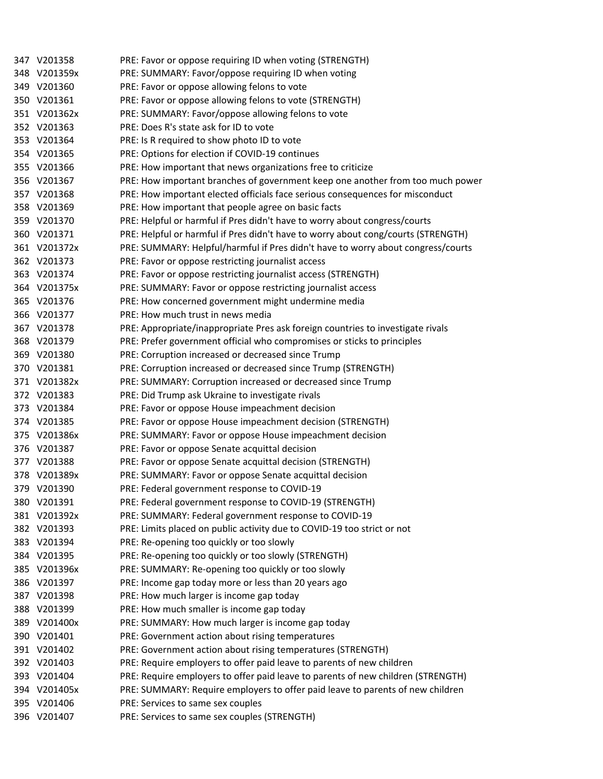|     | 347 V201358  | PRE: Favor or oppose requiring ID when voting (STRENGTH)                          |
|-----|--------------|-----------------------------------------------------------------------------------|
|     | 348 V201359x | PRE: SUMMARY: Favor/oppose requiring ID when voting                               |
|     | 349 V201360  | PRE: Favor or oppose allowing felons to vote                                      |
|     | 350 V201361  | PRE: Favor or oppose allowing felons to vote (STRENGTH)                           |
|     | 351 V201362x | PRE: SUMMARY: Favor/oppose allowing felons to vote                                |
|     | 352 V201363  | PRE: Does R's state ask for ID to vote                                            |
|     | 353 V201364  | PRE: Is R required to show photo ID to vote                                       |
|     | 354 V201365  | PRE: Options for election if COVID-19 continues                                   |
|     | 355 V201366  | PRE: How important that news organizations free to criticize                      |
|     | 356 V201367  | PRE: How important branches of government keep one another from too much power    |
|     | 357 V201368  | PRE: How important elected officials face serious consequences for misconduct     |
|     | 358 V201369  | PRE: How important that people agree on basic facts                               |
|     | 359 V201370  | PRE: Helpful or harmful if Pres didn't have to worry about congress/courts        |
|     | 360 V201371  | PRE: Helpful or harmful if Pres didn't have to worry about cong/courts (STRENGTH) |
|     | 361 V201372x | PRE: SUMMARY: Helpful/harmful if Pres didn't have to worry about congress/courts  |
|     | 362 V201373  | PRE: Favor or oppose restricting journalist access                                |
|     | 363 V201374  | PRE: Favor or oppose restricting journalist access (STRENGTH)                     |
|     | 364 V201375x | PRE: SUMMARY: Favor or oppose restricting journalist access                       |
|     | 365 V201376  | PRE: How concerned government might undermine media                               |
|     | 366 V201377  | PRE: How much trust in news media                                                 |
|     | 367 V201378  | PRE: Appropriate/inappropriate Pres ask foreign countries to investigate rivals   |
|     | 368 V201379  | PRE: Prefer government official who compromises or sticks to principles           |
|     | 369 V201380  | PRE: Corruption increased or decreased since Trump                                |
|     | 370 V201381  | PRE: Corruption increased or decreased since Trump (STRENGTH)                     |
|     | 371 V201382x | PRE: SUMMARY: Corruption increased or decreased since Trump                       |
|     | 372 V201383  | PRE: Did Trump ask Ukraine to investigate rivals                                  |
|     | 373 V201384  | PRE: Favor or oppose House impeachment decision                                   |
|     | 374 V201385  | PRE: Favor or oppose House impeachment decision (STRENGTH)                        |
|     | 375 V201386x | PRE: SUMMARY: Favor or oppose House impeachment decision                          |
|     | 376 V201387  | PRE: Favor or oppose Senate acquittal decision                                    |
|     | 377 V201388  | PRE: Favor or oppose Senate acquittal decision (STRENGTH)                         |
|     | 378 V201389x | PRE: SUMMARY: Favor or oppose Senate acquittal decision                           |
|     | 379 V201390  | PRE: Federal government response to COVID-19                                      |
|     | 380 V201391  | PRE: Federal government response to COVID-19 (STRENGTH)                           |
|     | 381 V201392x | PRE: SUMMARY: Federal government response to COVID-19                             |
|     | 382 V201393  | PRE: Limits placed on public activity due to COVID-19 too strict or not           |
|     | 383 V201394  | PRE: Re-opening too quickly or too slowly                                         |
|     | 384 V201395  | PRE: Re-opening too quickly or too slowly (STRENGTH)                              |
|     | 385 V201396x | PRE: SUMMARY: Re-opening too quickly or too slowly                                |
|     | 386 V201397  | PRE: Income gap today more or less than 20 years ago                              |
| 387 | V201398      | PRE: How much larger is income gap today                                          |
|     | 388 V201399  | PRE: How much smaller is income gap today                                         |
|     | 389 V201400x | PRE: SUMMARY: How much larger is income gap today                                 |
|     | 390 V201401  | PRE: Government action about rising temperatures                                  |
|     | 391 V201402  | PRE: Government action about rising temperatures (STRENGTH)                       |
|     | 392 V201403  | PRE: Require employers to offer paid leave to parents of new children             |
|     | 393 V201404  | PRE: Require employers to offer paid leave to parents of new children (STRENGTH)  |
|     | 394 V201405x | PRE: SUMMARY: Require employers to offer paid leave to parents of new children    |
|     | 395 V201406  | PRE: Services to same sex couples                                                 |
|     | 396 V201407  | PRE: Services to same sex couples (STRENGTH)                                      |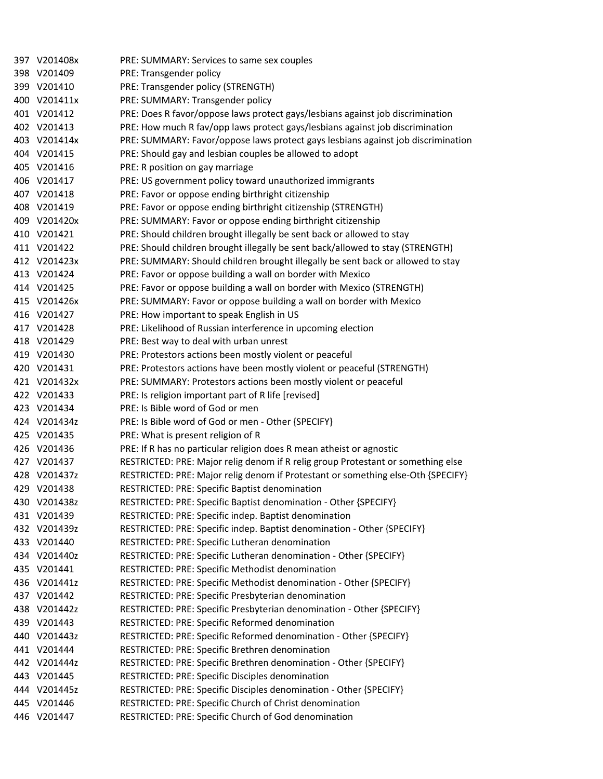| 397 V201408x | PRE: SUMMARY: Services to same sex couples                                       |
|--------------|----------------------------------------------------------------------------------|
| 398 V201409  | PRE: Transgender policy                                                          |
| 399 V201410  | PRE: Transgender policy (STRENGTH)                                               |
| 400 V201411x | PRE: SUMMARY: Transgender policy                                                 |
| 401 V201412  | PRE: Does R favor/oppose laws protect gays/lesbians against job discrimination   |
| 402 V201413  | PRE: How much R fav/opp laws protect gays/lesbians against job discrimination    |
| 403 V201414x | PRE: SUMMARY: Favor/oppose laws protect gays lesbians against job discrimination |
| 404 V201415  | PRE: Should gay and lesbian couples be allowed to adopt                          |
| 405 V201416  | PRE: R position on gay marriage                                                  |
| 406 V201417  | PRE: US government policy toward unauthorized immigrants                         |
| 407 V201418  | PRE: Favor or oppose ending birthright citizenship                               |
| 408 V201419  | PRE: Favor or oppose ending birthright citizenship (STRENGTH)                    |
| 409 V201420x | PRE: SUMMARY: Favor or oppose ending birthright citizenship                      |
| 410 V201421  | PRE: Should children brought illegally be sent back or allowed to stay           |
| 411 V201422  | PRE: Should children brought illegally be sent back/allowed to stay (STRENGTH)   |
| 412 V201423x | PRE: SUMMARY: Should children brought illegally be sent back or allowed to stay  |
| 413 V201424  | PRE: Favor or oppose building a wall on border with Mexico                       |
| 414 V201425  | PRE: Favor or oppose building a wall on border with Mexico (STRENGTH)            |
| 415 V201426x | PRE: SUMMARY: Favor or oppose building a wall on border with Mexico              |
| 416 V201427  | PRE: How important to speak English in US                                        |
| 417 V201428  | PRE: Likelihood of Russian interference in upcoming election                     |
| 418 V201429  | PRE: Best way to deal with urban unrest                                          |
| 419 V201430  | PRE: Protestors actions been mostly violent or peaceful                          |
| 420 V201431  | PRE: Protestors actions have been mostly violent or peaceful (STRENGTH)          |
| 421 V201432x | PRE: SUMMARY: Protestors actions been mostly violent or peaceful                 |
| 422 V201433  | PRE: Is religion important part of R life [revised]                              |
| 423 V201434  | PRE: Is Bible word of God or men                                                 |
| 424 V201434z | PRE: Is Bible word of God or men - Other {SPECIFY}                               |
| 425 V201435  | PRE: What is present religion of R                                               |
| 426 V201436  | PRE: If R has no particular religion does R mean atheist or agnostic             |
| 427 V201437  | RESTRICTED: PRE: Major relig denom if R relig group Protestant or something else |
| 428 V201437z | RESTRICTED: PRE: Major relig denom if Protestant or something else-Oth {SPECIFY} |
| 429 V201438  | RESTRICTED: PRE: Specific Baptist denomination                                   |
| 430 V201438z | RESTRICTED: PRE: Specific Baptist denomination - Other {SPECIFY}                 |
| 431 V201439  | RESTRICTED: PRE: Specific indep. Baptist denomination                            |
| 432 V201439z | RESTRICTED: PRE: Specific indep. Baptist denomination - Other {SPECIFY}          |
| 433 V201440  | RESTRICTED: PRE: Specific Lutheran denomination                                  |
| 434 V201440z | RESTRICTED: PRE: Specific Lutheran denomination - Other {SPECIFY}                |
| 435 V201441  | RESTRICTED: PRE: Specific Methodist denomination                                 |
| 436 V201441z | RESTRICTED: PRE: Specific Methodist denomination - Other {SPECIFY}               |
| 437 V201442  | RESTRICTED: PRE: Specific Presbyterian denomination                              |
| 438 V201442z | RESTRICTED: PRE: Specific Presbyterian denomination - Other {SPECIFY}            |
| 439 V201443  | RESTRICTED: PRE: Specific Reformed denomination                                  |
| 440 V201443z | RESTRICTED: PRE: Specific Reformed denomination - Other {SPECIFY}                |
| 441 V201444  | RESTRICTED: PRE: Specific Brethren denomination                                  |
| 442 V201444z | RESTRICTED: PRE: Specific Brethren denomination - Other {SPECIFY}                |
| 443 V201445  | RESTRICTED: PRE: Specific Disciples denomination                                 |
| 444 V201445z | RESTRICTED: PRE: Specific Disciples denomination - Other {SPECIFY}               |
| 445 V201446  | RESTRICTED: PRE: Specific Church of Christ denomination                          |
| 446 V201447  | RESTRICTED: PRE: Specific Church of God denomination                             |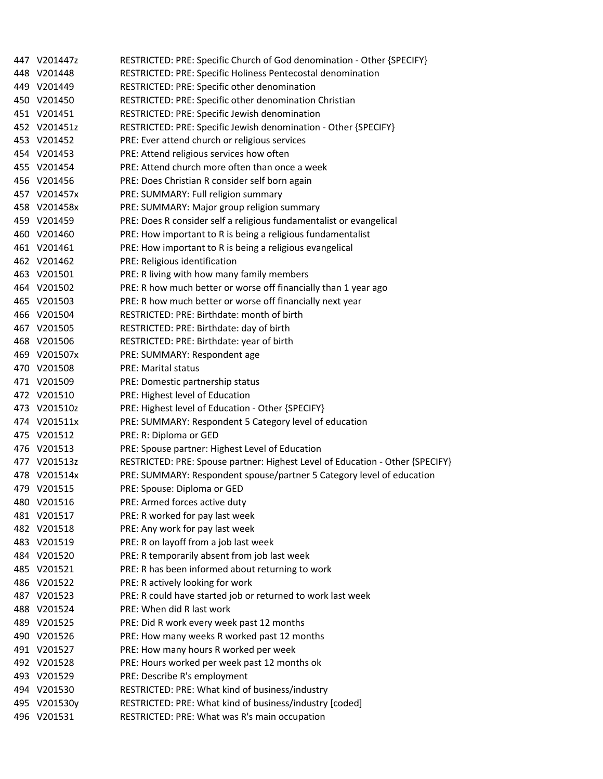| 447 V201447z | RESTRICTED: PRE: Specific Church of God denomination - Other {SPECIFY}        |
|--------------|-------------------------------------------------------------------------------|
| 448 V201448  | RESTRICTED: PRE: Specific Holiness Pentecostal denomination                   |
| 449 V201449  | RESTRICTED: PRE: Specific other denomination                                  |
| 450 V201450  | RESTRICTED: PRE: Specific other denomination Christian                        |
| 451 V201451  | RESTRICTED: PRE: Specific Jewish denomination                                 |
| 452 V201451z | RESTRICTED: PRE: Specific Jewish denomination - Other {SPECIFY}               |
| 453 V201452  | PRE: Ever attend church or religious services                                 |
| 454 V201453  | PRE: Attend religious services how often                                      |
| 455 V201454  | PRE: Attend church more often than once a week                                |
| 456 V201456  | PRE: Does Christian R consider self born again                                |
| 457 V201457x | PRE: SUMMARY: Full religion summary                                           |
| 458 V201458x | PRE: SUMMARY: Major group religion summary                                    |
| 459 V201459  | PRE: Does R consider self a religious fundamentalist or evangelical           |
| 460 V201460  | PRE: How important to R is being a religious fundamentalist                   |
| 461 V201461  | PRE: How important to R is being a religious evangelical                      |
| 462 V201462  | PRE: Religious identification                                                 |
| 463 V201501  | PRE: R living with how many family members                                    |
| 464 V201502  | PRE: R how much better or worse off financially than 1 year ago               |
| 465 V201503  | PRE: R how much better or worse off financially next year                     |
| 466 V201504  | RESTRICTED: PRE: Birthdate: month of birth                                    |
| 467 V201505  | RESTRICTED: PRE: Birthdate: day of birth                                      |
| 468 V201506  | RESTRICTED: PRE: Birthdate: year of birth                                     |
| 469 V201507x | PRE: SUMMARY: Respondent age                                                  |
| 470 V201508  | <b>PRE: Marital status</b>                                                    |
| 471 V201509  | PRE: Domestic partnership status                                              |
| 472 V201510  | PRE: Highest level of Education                                               |
| 473 V201510z | PRE: Highest level of Education - Other {SPECIFY}                             |
| 474 V201511x | PRE: SUMMARY: Respondent 5 Category level of education                        |
| 475 V201512  | PRE: R: Diploma or GED                                                        |
| 476 V201513  | PRE: Spouse partner: Highest Level of Education                               |
| 477 V201513z | RESTRICTED: PRE: Spouse partner: Highest Level of Education - Other {SPECIFY} |
| 478 V201514x | PRE: SUMMARY: Respondent spouse/partner 5 Category level of education         |
| 479 V201515  | PRE: Spouse: Diploma or GED                                                   |
| 480 V201516  | PRE: Armed forces active duty                                                 |
| 481 V201517  | PRE: R worked for pay last week                                               |
| 482 V201518  | PRE: Any work for pay last week                                               |
| 483 V201519  | PRE: R on layoff from a job last week                                         |
| 484 V201520  | PRE: R temporarily absent from job last week                                  |
| 485 V201521  | PRE: R has been informed about returning to work                              |
| 486 V201522  | PRE: R actively looking for work                                              |
| 487 V201523  | PRE: R could have started job or returned to work last week                   |
| 488 V201524  | PRE: When did R last work                                                     |
| 489 V201525  | PRE: Did R work every week past 12 months                                     |
| 490 V201526  | PRE: How many weeks R worked past 12 months                                   |
| 491 V201527  | PRE: How many hours R worked per week                                         |
| 492 V201528  | PRE: Hours worked per week past 12 months ok                                  |
| 493 V201529  | PRE: Describe R's employment                                                  |
| 494 V201530  | RESTRICTED: PRE: What kind of business/industry                               |
| 495 V201530y | RESTRICTED: PRE: What kind of business/industry [coded]                       |
| 496 V201531  | RESTRICTED: PRE: What was R's main occupation                                 |
|              |                                                                               |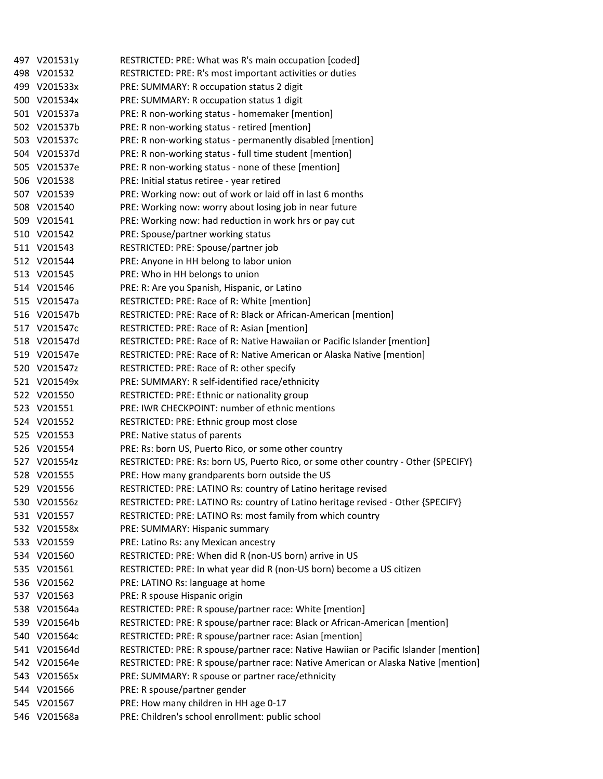|     | 497 V201531y | RESTRICTED: PRE: What was R's main occupation [coded]                                |
|-----|--------------|--------------------------------------------------------------------------------------|
|     | 498 V201532  | RESTRICTED: PRE: R's most important activities or duties                             |
|     | 499 V201533x | PRE: SUMMARY: R occupation status 2 digit                                            |
|     | 500 V201534x | PRE: SUMMARY: R occupation status 1 digit                                            |
|     | 501 V201537a | PRE: R non-working status - homemaker [mention]                                      |
|     | 502 V201537b | PRE: R non-working status - retired [mention]                                        |
|     | 503 V201537c | PRE: R non-working status - permanently disabled [mention]                           |
|     | 504 V201537d | PRE: R non-working status - full time student [mention]                              |
|     | 505 V201537e | PRE: R non-working status - none of these [mention]                                  |
|     | 506 V201538  | PRE: Initial status retiree - year retired                                           |
|     | 507 V201539  | PRE: Working now: out of work or laid off in last 6 months                           |
|     | 508 V201540  | PRE: Working now: worry about losing job in near future                              |
|     | 509 V201541  | PRE: Working now: had reduction in work hrs or pay cut                               |
|     | 510 V201542  | PRE: Spouse/partner working status                                                   |
|     | 511 V201543  | RESTRICTED: PRE: Spouse/partner job                                                  |
|     | 512 V201544  | PRE: Anyone in HH belong to labor union                                              |
|     | 513 V201545  | PRE: Who in HH belongs to union                                                      |
|     | 514 V201546  | PRE: R: Are you Spanish, Hispanic, or Latino                                         |
|     | 515 V201547a | RESTRICTED: PRE: Race of R: White [mention]                                          |
|     | 516 V201547b | RESTRICTED: PRE: Race of R: Black or African-American [mention]                      |
|     | 517 V201547c | RESTRICTED: PRE: Race of R: Asian [mention]                                          |
|     | 518 V201547d | RESTRICTED: PRE: Race of R: Native Hawaiian or Pacific Islander [mention]            |
|     | 519 V201547e | RESTRICTED: PRE: Race of R: Native American or Alaska Native [mention]               |
|     | 520 V201547z | RESTRICTED: PRE: Race of R: other specify                                            |
|     | 521 V201549x | PRE: SUMMARY: R self-identified race/ethnicity                                       |
|     | 522 V201550  | RESTRICTED: PRE: Ethnic or nationality group                                         |
|     | 523 V201551  | PRE: IWR CHECKPOINT: number of ethnic mentions                                       |
|     | 524 V201552  | RESTRICTED: PRE: Ethnic group most close                                             |
|     | 525 V201553  | PRE: Native status of parents                                                        |
|     | 526 V201554  | PRE: Rs: born US, Puerto Rico, or some other country                                 |
|     | 527 V201554z | RESTRICTED: PRE: Rs: born US, Puerto Rico, or some other country - Other {SPECIFY}   |
|     | 528 V201555  | PRE: How many grandparents born outside the US                                       |
|     | 529 V201556  | RESTRICTED: PRE: LATINO Rs: country of Latino heritage revised                       |
|     | 530 V201556z | RESTRICTED: PRE: LATINO Rs: country of Latino heritage revised - Other {SPECIFY}     |
|     | 531 V201557  | RESTRICTED: PRE: LATINO Rs: most family from which country                           |
|     | 532 V201558x | PRE: SUMMARY: Hispanic summary                                                       |
|     | 533 V201559  | PRE: Latino Rs: any Mexican ancestry                                                 |
|     | 534 V201560  | RESTRICTED: PRE: When did R (non-US born) arrive in US                               |
|     | 535 V201561  | RESTRICTED: PRE: In what year did R (non-US born) become a US citizen                |
|     | 536 V201562  | PRE: LATINO Rs: language at home                                                     |
|     | 537 V201563  | PRE: R spouse Hispanic origin                                                        |
|     | 538 V201564a | RESTRICTED: PRE: R spouse/partner race: White [mention]                              |
|     | 539 V201564b | RESTRICTED: PRE: R spouse/partner race: Black or African-American [mention]          |
|     | 540 V201564c | RESTRICTED: PRE: R spouse/partner race: Asian [mention]                              |
|     | 541 V201564d | RESTRICTED: PRE: R spouse/partner race: Native Hawiian or Pacific Islander [mention] |
|     | 542 V201564e | RESTRICTED: PRE: R spouse/partner race: Native American or Alaska Native [mention]   |
|     | 543 V201565x | PRE: SUMMARY: R spouse or partner race/ethnicity                                     |
| 544 | V201566      | PRE: R spouse/partner gender                                                         |
|     | 545 V201567  | PRE: How many children in HH age 0-17                                                |
|     | 546 V201568a | PRE: Children's school enrollment: public school                                     |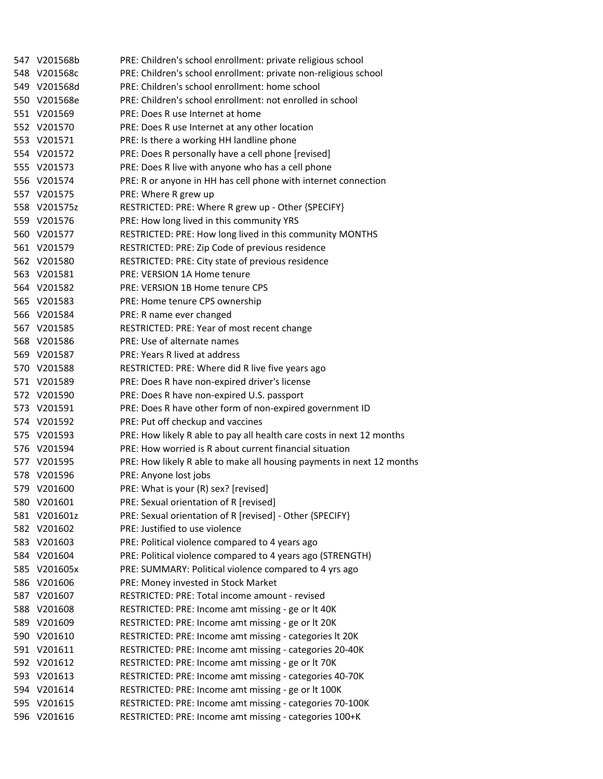| 547 V201568b | PRE: Children's school enrollment: private religious school           |
|--------------|-----------------------------------------------------------------------|
| 548 V201568c | PRE: Children's school enrollment: private non-religious school       |
| 549 V201568d | PRE: Children's school enrollment: home school                        |
| 550 V201568e | PRE: Children's school enrollment: not enrolled in school             |
| 551 V201569  | PRE: Does R use Internet at home                                      |
| 552 V201570  | PRE: Does R use Internet at any other location                        |
| 553 V201571  | PRE: Is there a working HH landline phone                             |
| 554 V201572  | PRE: Does R personally have a cell phone [revised]                    |
| 555 V201573  | PRE: Does R live with anyone who has a cell phone                     |
| 556 V201574  | PRE: R or anyone in HH has cell phone with internet connection        |
| 557 V201575  | PRE: Where R grew up                                                  |
| 558 V201575z | RESTRICTED: PRE: Where R grew up - Other {SPECIFY}                    |
| 559 V201576  | PRE: How long lived in this community YRS                             |
| 560 V201577  | RESTRICTED: PRE: How long lived in this community MONTHS              |
| 561 V201579  | RESTRICTED: PRE: Zip Code of previous residence                       |
| 562 V201580  | RESTRICTED: PRE: City state of previous residence                     |
| 563 V201581  | PRE: VERSION 1A Home tenure                                           |
| 564 V201582  | PRE: VERSION 1B Home tenure CPS                                       |
| 565 V201583  | PRE: Home tenure CPS ownership                                        |
| 566 V201584  | PRE: R name ever changed                                              |
| 567 V201585  | RESTRICTED: PRE: Year of most recent change                           |
| 568 V201586  | PRE: Use of alternate names                                           |
| 569 V201587  | PRE: Years R lived at address                                         |
| 570 V201588  | RESTRICTED: PRE: Where did R live five years ago                      |
| 571 V201589  | PRE: Does R have non-expired driver's license                         |
| 572 V201590  | PRE: Does R have non-expired U.S. passport                            |
| 573 V201591  | PRE: Does R have other form of non-expired government ID              |
| 574 V201592  | PRE: Put off checkup and vaccines                                     |
| 575 V201593  | PRE: How likely R able to pay all health care costs in next 12 months |
| 576 V201594  | PRE: How worried is R about current financial situation               |
| 577 V201595  | PRE: How likely R able to make all housing payments in next 12 months |
| 578 V201596  | PRE: Anyone lost jobs                                                 |
| 579 V201600  | PRE: What is your (R) sex? [revised]                                  |
| 580 V201601  | PRE: Sexual orientation of R [revised]                                |
| 581 V201601z | PRE: Sexual orientation of R [revised] - Other {SPECIFY}              |
| 582 V201602  | PRE: Justified to use violence                                        |
| 583 V201603  | PRE: Political violence compared to 4 years ago                       |
| 584 V201604  | PRE: Political violence compared to 4 years ago (STRENGTH)            |
| 585 V201605x | PRE: SUMMARY: Political violence compared to 4 yrs ago                |
| 586 V201606  | PRE: Money invested in Stock Market                                   |
| 587 V201607  | RESTRICTED: PRE: Total income amount - revised                        |
| 588 V201608  | RESTRICTED: PRE: Income amt missing - ge or It 40K                    |
| 589 V201609  | RESTRICTED: PRE: Income amt missing - ge or lt 20K                    |
| 590 V201610  | RESTRICTED: PRE: Income amt missing - categories It 20K               |
| 591 V201611  | RESTRICTED: PRE: Income amt missing - categories 20-40K               |
| 592 V201612  | RESTRICTED: PRE: Income amt missing - ge or lt 70K                    |
| 593 V201613  | RESTRICTED: PRE: Income amt missing - categories 40-70K               |
| 594 V201614  | RESTRICTED: PRE: Income amt missing - ge or lt 100K                   |
| 595 V201615  | RESTRICTED: PRE: Income amt missing - categories 70-100K              |
| 596 V201616  | RESTRICTED: PRE: Income amt missing - categories 100+K                |
|              |                                                                       |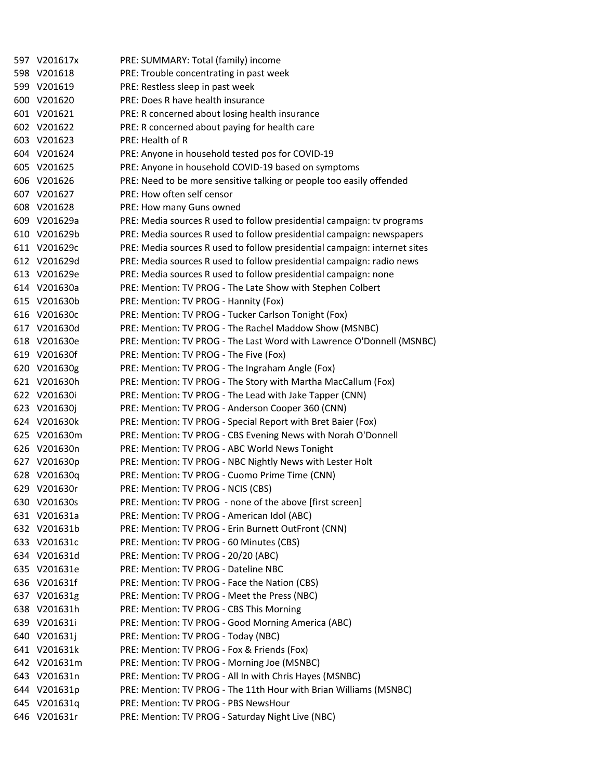|     | 597 V201617x | PRE: SUMMARY: Total (family) income                                       |
|-----|--------------|---------------------------------------------------------------------------|
|     | 598 V201618  | PRE: Trouble concentrating in past week                                   |
|     | 599 V201619  | PRE: Restless sleep in past week                                          |
|     | 600 V201620  | PRE: Does R have health insurance                                         |
|     | 601 V201621  | PRE: R concerned about losing health insurance                            |
|     | 602 V201622  | PRE: R concerned about paying for health care                             |
|     | 603 V201623  | PRE: Health of R                                                          |
|     | 604 V201624  | PRE: Anyone in household tested pos for COVID-19                          |
|     | 605 V201625  | PRE: Anyone in household COVID-19 based on symptoms                       |
|     | 606 V201626  | PRE: Need to be more sensitive talking or people too easily offended      |
|     | 607 V201627  | PRE: How often self censor                                                |
|     | 608 V201628  | PRE: How many Guns owned                                                  |
|     | 609 V201629a | PRE: Media sources R used to follow presidential campaign: tv programs    |
|     | 610 V201629b | PRE: Media sources R used to follow presidential campaign: newspapers     |
|     | 611 V201629c | PRE: Media sources R used to follow presidential campaign: internet sites |
|     | 612 V201629d | PRE: Media sources R used to follow presidential campaign: radio news     |
|     | 613 V201629e | PRE: Media sources R used to follow presidential campaign: none           |
|     | 614 V201630a | PRE: Mention: TV PROG - The Late Show with Stephen Colbert                |
|     | 615 V201630b | PRE: Mention: TV PROG - Hannity (Fox)                                     |
|     | 616 V201630c | PRE: Mention: TV PROG - Tucker Carlson Tonight (Fox)                      |
|     | 617 V201630d | PRE: Mention: TV PROG - The Rachel Maddow Show (MSNBC)                    |
|     | 618 V201630e | PRE: Mention: TV PROG - The Last Word with Lawrence O'Donnell (MSNBC)     |
|     | 619 V201630f | PRE: Mention: TV PROG - The Five (Fox)                                    |
|     | 620 V201630g | PRE: Mention: TV PROG - The Ingraham Angle (Fox)                          |
|     | 621 V201630h | PRE: Mention: TV PROG - The Story with Martha MacCallum (Fox)             |
|     | 622 V201630i | PRE: Mention: TV PROG - The Lead with Jake Tapper (CNN)                   |
|     | 623 V201630j | PRE: Mention: TV PROG - Anderson Cooper 360 (CNN)                         |
|     | 624 V201630k | PRE: Mention: TV PROG - Special Report with Bret Baier (Fox)              |
| 625 | V201630m     | PRE: Mention: TV PROG - CBS Evening News with Norah O'Donnell             |
|     | 626 V201630n | PRE: Mention: TV PROG - ABC World News Tonight                            |
|     | 627 V201630p | PRE: Mention: TV PROG - NBC Nightly News with Lester Holt                 |
|     | 628 V201630q | PRE: Mention: TV PROG - Cuomo Prime Time (CNN)                            |
|     | 629 V201630r | PRE: Mention: TV PROG - NCIS (CBS)                                        |
|     | 630 V201630s | PRE: Mention: TV PROG - none of the above [first screen]                  |
|     | 631 V201631a | PRE: Mention: TV PROG - American Idol (ABC)                               |
|     | 632 V201631b | PRE: Mention: TV PROG - Erin Burnett OutFront (CNN)                       |
|     | 633 V201631c | PRE: Mention: TV PROG - 60 Minutes (CBS)                                  |
|     | 634 V201631d | PRE: Mention: TV PROG - 20/20 (ABC)                                       |
| 635 | V201631e     | PRE: Mention: TV PROG - Dateline NBC                                      |
| 636 | V201631f     | PRE: Mention: TV PROG - Face the Nation (CBS)                             |
| 637 | V201631g     | PRE: Mention: TV PROG - Meet the Press (NBC)                              |
|     | 638 V201631h | PRE: Mention: TV PROG - CBS This Morning                                  |
|     | 639 V201631i | PRE: Mention: TV PROG - Good Morning America (ABC)                        |
|     | 640 V201631j | PRE: Mention: TV PROG - Today (NBC)                                       |
|     | 641 V201631k | PRE: Mention: TV PROG - Fox & Friends (Fox)                               |
|     | 642 V201631m | PRE: Mention: TV PROG - Morning Joe (MSNBC)                               |
| 643 | V201631n     | PRE: Mention: TV PROG - All In with Chris Hayes (MSNBC)                   |
|     | 644 V201631p | PRE: Mention: TV PROG - The 11th Hour with Brian Williams (MSNBC)         |
|     | 645 V201631q | PRE: Mention: TV PROG - PBS NewsHour                                      |
|     | 646 V201631r | PRE: Mention: TV PROG - Saturday Night Live (NBC)                         |
|     |              |                                                                           |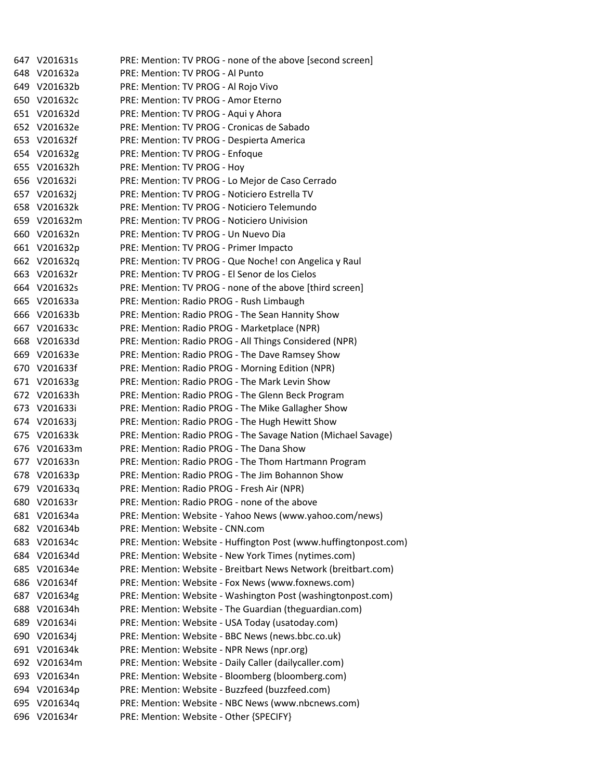647 V201631s PRE: Mention: TV PROG ‐ none of the above [second screen] 648 V201632a PRE: Mention: TV PROG ‐ Al Punto 649 V201632b PRE: Mention: TV PROG ‐ Al Rojo Vivo 650 V201632c PRE: Mention: TV PROG ‐ Amor Eterno 651 V201632d PRE: Mention: TV PROG ‐ Aqui y Ahora 652 V201632e PRE: Mention: TV PROG ‐ Cronicas de Sabado 653 V201632f PRE: Mention: TV PROG ‐ Despierta America 654 V201632g PRE: Mention: TV PROG ‐ Enfoque 655 V201632h PRE: Mention: TV PROG ‐ Hoy 656 V201632i PRE: Mention: TV PROG ‐ Lo Mejor de Caso Cerrado 657 V201632j PRE: Mention: TV PROG ‐ Noticiero Estrella TV 658 V201632k PRE: Mention: TV PROG ‐ Noticiero Telemundo 659 V201632m PRE: Mention: TV PROG ‐ Noticiero Univision 660 V201632n PRE: Mention: TV PROG ‐ Un Nuevo Dia 661 V201632p PRE: Mention: TV PROG ‐ Primer Impacto 662 V201632q PRE: Mention: TV PROG ‐ Que Noche! con Angelica y Raul 663 V201632r PRE: Mention: TV PROG ‐ El Senor de los Cielos 664 V201632s PRE: Mention: TV PROG ‐ none of the above [third screen] 665 V201633a PRE: Mention: Radio PROG ‐ Rush Limbaugh 666 V201633b PRE: Mention: Radio PROG ‐ The Sean Hannity Show 667 V201633c PRE: Mention: Radio PROG ‐ Marketplace (NPR) 668 V201633d PRE: Mention: Radio PROG ‐ All Things Considered (NPR) 669 V201633e PRE: Mention: Radio PROG ‐ The Dave Ramsey Show 670 V201633f PRE: Mention: Radio PROG ‐ Morning Edition (NPR) 671 V201633g PRE: Mention: Radio PROG ‐ The Mark Levin Show 672 V201633h PRE: Mention: Radio PROG ‐ The Glenn Beck Program 673 V201633i PRE: Mention: Radio PROG ‐ The Mike Gallagher Show 674 V201633j PRE: Mention: Radio PROG ‐ The Hugh Hewitt Show 675 V201633k PRE: Mention: Radio PROG ‐ The Savage Nation (Michael Savage) 676 V201633m PRE: Mention: Radio PROG ‐ The Dana Show 677 V201633n PRE: Mention: Radio PROG ‐ The Thom Hartmann Program 678 V201633p PRE: Mention: Radio PROG ‐ The Jim Bohannon Show 679 V201633q PRE: Mention: Radio PROG ‐ Fresh Air (NPR) 680 V201633r PRE: Mention: Radio PROG ‐ none of the above 681 V201634a PRE: Mention: Website ‐ Yahoo News (www.yahoo.com/news) 682 V201634b PRE: Mention: Website ‐ CNN.com 683 V201634c PRE: Mention: Website ‐ Huffington Post (www.huffingtonpost.com) 684 V201634d PRE: Mention: Website ‐ New York Times (nytimes.com) 685 V201634e PRE: Mention: Website ‐ Breitbart News Network (breitbart.com) 686 V201634f PRE: Mention: Website ‐ Fox News (www.foxnews.com) 687 V201634g PRE: Mention: Website ‐ Washington Post (washingtonpost.com) 688 V201634h PRE: Mention: Website ‐ The Guardian (theguardian.com) 689 V201634i PRE: Mention: Website ‐ USA Today (usatoday.com) 690 V201634j PRE: Mention: Website ‐ BBC News (news.bbc.co.uk) 691 V201634k PRE: Mention: Website ‐ NPR News (npr.org) 692 V201634m PRE: Mention: Website ‐ Daily Caller (dailycaller.com) 693 V201634n PRE: Mention: Website ‐ Bloomberg (bloomberg.com) 694 V201634p PRE: Mention: Website ‐ Buzzfeed (buzzfeed.com) 695 V201634q PRE: Mention: Website ‐ NBC News (www.nbcnews.com) 696 V201634r PRE: Mention: Website ‐ Other {SPECIFY}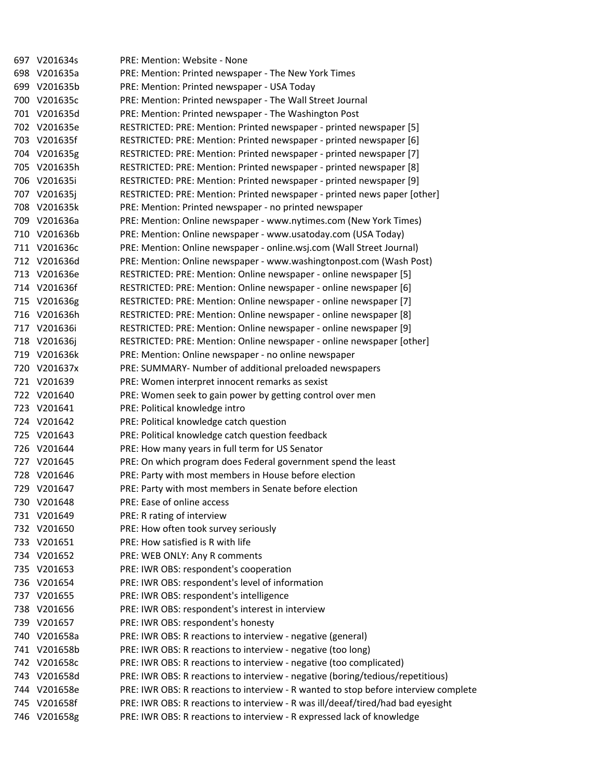|     | 697 V201634s | PRE: Mention: Website - None                                                        |
|-----|--------------|-------------------------------------------------------------------------------------|
|     | 698 V201635a | PRE: Mention: Printed newspaper - The New York Times                                |
|     | 699 V201635b | PRE: Mention: Printed newspaper - USA Today                                         |
|     | 700 V201635c | PRE: Mention: Printed newspaper - The Wall Street Journal                           |
|     | 701 V201635d | PRE: Mention: Printed newspaper - The Washington Post                               |
|     | 702 V201635e | RESTRICTED: PRE: Mention: Printed newspaper - printed newspaper [5]                 |
|     | 703 V201635f | RESTRICTED: PRE: Mention: Printed newspaper - printed newspaper [6]                 |
|     | 704 V201635g | RESTRICTED: PRE: Mention: Printed newspaper - printed newspaper [7]                 |
|     | 705 V201635h | RESTRICTED: PRE: Mention: Printed newspaper - printed newspaper [8]                 |
|     | 706 V201635i | RESTRICTED: PRE: Mention: Printed newspaper - printed newspaper [9]                 |
|     | 707 V201635j | RESTRICTED: PRE: Mention: Printed newspaper - printed news paper [other]            |
|     | 708 V201635k | PRE: Mention: Printed newspaper - no printed newspaper                              |
|     | 709 V201636a | PRE: Mention: Online newspaper - www.nytimes.com (New York Times)                   |
|     | 710 V201636b | PRE: Mention: Online newspaper - www.usatoday.com (USA Today)                       |
|     | 711 V201636c | PRE: Mention: Online newspaper - online.wsj.com (Wall Street Journal)               |
|     | 712 V201636d | PRE: Mention: Online newspaper - www.washingtonpost.com (Wash Post)                 |
|     | 713 V201636e | RESTRICTED: PRE: Mention: Online newspaper - online newspaper [5]                   |
|     | 714 V201636f | RESTRICTED: PRE: Mention: Online newspaper - online newspaper [6]                   |
|     | 715 V201636g | RESTRICTED: PRE: Mention: Online newspaper - online newspaper [7]                   |
|     | 716 V201636h | RESTRICTED: PRE: Mention: Online newspaper - online newspaper [8]                   |
|     | 717 V201636i | RESTRICTED: PRE: Mention: Online newspaper - online newspaper [9]                   |
|     | 718 V201636j | RESTRICTED: PRE: Mention: Online newspaper - online newspaper [other]               |
|     | 719 V201636k | PRE: Mention: Online newspaper - no online newspaper                                |
|     | 720 V201637x | PRE: SUMMARY- Number of additional preloaded newspapers                             |
|     | 721 V201639  | PRE: Women interpret innocent remarks as sexist                                     |
|     | 722 V201640  | PRE: Women seek to gain power by getting control over men                           |
|     | 723 V201641  | PRE: Political knowledge intro                                                      |
|     | 724 V201642  | PRE: Political knowledge catch question                                             |
|     | 725 V201643  | PRE: Political knowledge catch question feedback                                    |
|     | 726 V201644  | PRE: How many years in full term for US Senator                                     |
|     | 727 V201645  | PRE: On which program does Federal government spend the least                       |
|     | 728 V201646  | PRE: Party with most members in House before election                               |
|     | 729 V201647  | PRE: Party with most members in Senate before election                              |
|     | 730 V201648  | PRE: Ease of online access                                                          |
|     | 731 V201649  | PRE: R rating of interview                                                          |
|     | 732 V201650  | PRE: How often took survey seriously                                                |
|     | 733 V201651  | PRE: How satisfied is R with life                                                   |
|     | 734 V201652  | PRE: WEB ONLY: Any R comments                                                       |
| 735 | V201653      | PRE: IWR OBS: respondent's cooperation                                              |
| 736 | V201654      | PRE: IWR OBS: respondent's level of information                                     |
| 737 | V201655      | PRE: IWR OBS: respondent's intelligence                                             |
|     | 738 V201656  | PRE: IWR OBS: respondent's interest in interview                                    |
|     | 739 V201657  | PRE: IWR OBS: respondent's honesty                                                  |
|     | 740 V201658a | PRE: IWR OBS: R reactions to interview - negative (general)                         |
|     | 741 V201658b | PRE: IWR OBS: R reactions to interview - negative (too long)                        |
|     | 742 V201658c | PRE: IWR OBS: R reactions to interview - negative (too complicated)                 |
|     | 743 V201658d | PRE: IWR OBS: R reactions to interview - negative (boring/tedious/repetitious)      |
| 744 | V201658e     | PRE: IWR OBS: R reactions to interview - R wanted to stop before interview complete |
|     | 745 V201658f | PRE: IWR OBS: R reactions to interview - R was ill/deeaf/tired/had bad eyesight     |
|     | 746 V201658g | PRE: IWR OBS: R reactions to interview - R expressed lack of knowledge              |
|     |              |                                                                                     |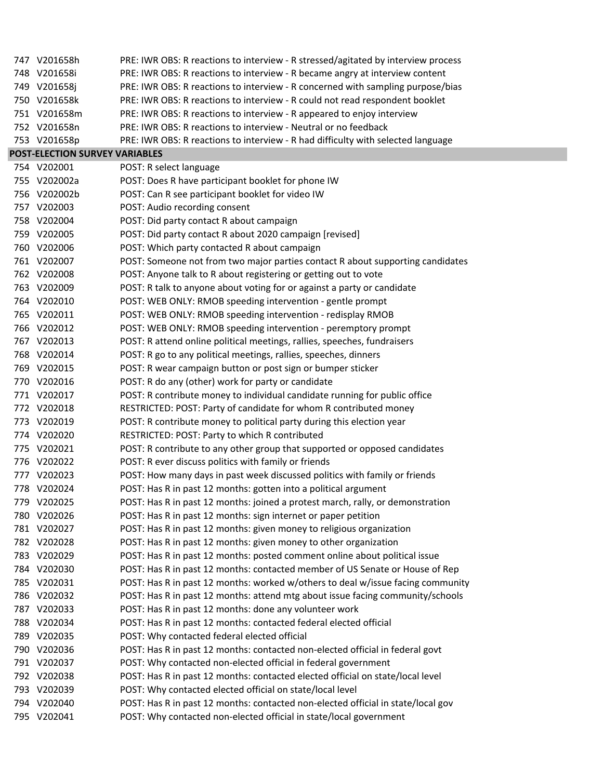| 747 V201658h                   | PRE: IWR OBS: R reactions to interview - R stressed/agitated by interview process |
|--------------------------------|-----------------------------------------------------------------------------------|
| 748 V201658i                   | PRE: IWR OBS: R reactions to interview - R became angry at interview content      |
| 749 V201658j                   | PRE: IWR OBS: R reactions to interview - R concerned with sampling purpose/bias   |
| 750 V201658k                   | PRE: IWR OBS: R reactions to interview - R could not read respondent booklet      |
| 751 V201658m                   | PRE: IWR OBS: R reactions to interview - R appeared to enjoy interview            |
| 752 V201658n                   | PRE: IWR OBS: R reactions to interview - Neutral or no feedback                   |
| 753 V201658p                   | PRE: IWR OBS: R reactions to interview - R had difficulty with selected language  |
| POST-ELECTION SURVEY VARIABLES |                                                                                   |
| 754 V202001                    | POST: R select language                                                           |
| 755 V202002a                   | POST: Does R have participant booklet for phone IW                                |
| 756 V202002b                   | POST: Can R see participant booklet for video IW                                  |
| 757 V202003                    | POST: Audio recording consent                                                     |
| 758 V202004                    | POST: Did party contact R about campaign                                          |
| 759 V202005                    | POST: Did party contact R about 2020 campaign [revised]                           |
| 760 V202006                    | POST: Which party contacted R about campaign                                      |
| 761 V202007                    | POST: Someone not from two major parties contact R about supporting candidates    |
| 762 V202008                    | POST: Anyone talk to R about registering or getting out to vote                   |
| 763 V202009                    | POST: R talk to anyone about voting for or against a party or candidate           |
| 764 V202010                    | POST: WEB ONLY: RMOB speeding intervention - gentle prompt                        |
| 765 V202011                    | POST: WEB ONLY: RMOB speeding intervention - redisplay RMOB                       |
| 766 V202012                    | POST: WEB ONLY: RMOB speeding intervention - peremptory prompt                    |
| 767 V202013                    | POST: R attend online political meetings, rallies, speeches, fundraisers          |
| 768 V202014                    | POST: R go to any political meetings, rallies, speeches, dinners                  |
| 769 V202015                    | POST: R wear campaign button or post sign or bumper sticker                       |
| 770 V202016                    | POST: R do any (other) work for party or candidate                                |
| 771 V202017                    | POST: R contribute money to individual candidate running for public office        |
| 772 V202018                    | RESTRICTED: POST: Party of candidate for whom R contributed money                 |
| 773 V202019                    | POST: R contribute money to political party during this election year             |
| 774 V202020                    | RESTRICTED: POST: Party to which R contributed                                    |
| 775 V202021                    | POST: R contribute to any other group that supported or opposed candidates        |
| 776 V202022                    | POST: R ever discuss politics with family or friends                              |
| 777 V202023                    | POST: How many days in past week discussed politics with family or friends        |
| 778 V202024                    | POST: Has R in past 12 months: gotten into a political argument                   |
| 779 V202025                    | POST: Has R in past 12 months: joined a protest march, rally, or demonstration    |
| 780 V202026                    | POST: Has R in past 12 months: sign internet or paper petition                    |
| 781 V202027                    | POST: Has R in past 12 months: given money to religious organization              |
| 782 V202028                    | POST: Has R in past 12 months: given money to other organization                  |
| 783 V202029                    | POST: Has R in past 12 months: posted comment online about political issue        |
| 784 V202030                    | POST: Has R in past 12 months: contacted member of US Senate or House of Rep      |
| 785 V202031                    | POST: Has R in past 12 months: worked w/others to deal w/issue facing community   |
| 786 V202032                    | POST: Has R in past 12 months: attend mtg about issue facing community/schools    |
| 787 V202033                    | POST: Has R in past 12 months: done any volunteer work                            |
| 788 V202034                    | POST: Has R in past 12 months: contacted federal elected official                 |
| 789 V202035                    | POST: Why contacted federal elected official                                      |
| 790 V202036                    | POST: Has R in past 12 months: contacted non-elected official in federal govt     |
| 791 V202037                    | POST: Why contacted non-elected official in federal government                    |
| 792 V202038                    | POST: Has R in past 12 months: contacted elected official on state/local level    |
| 793 V202039                    | POST: Why contacted elected official on state/local level                         |
| 794 V202040                    | POST: Has R in past 12 months: contacted non-elected official in state/local gov  |
| 795 V202041                    | POST: Why contacted non-elected official in state/local government                |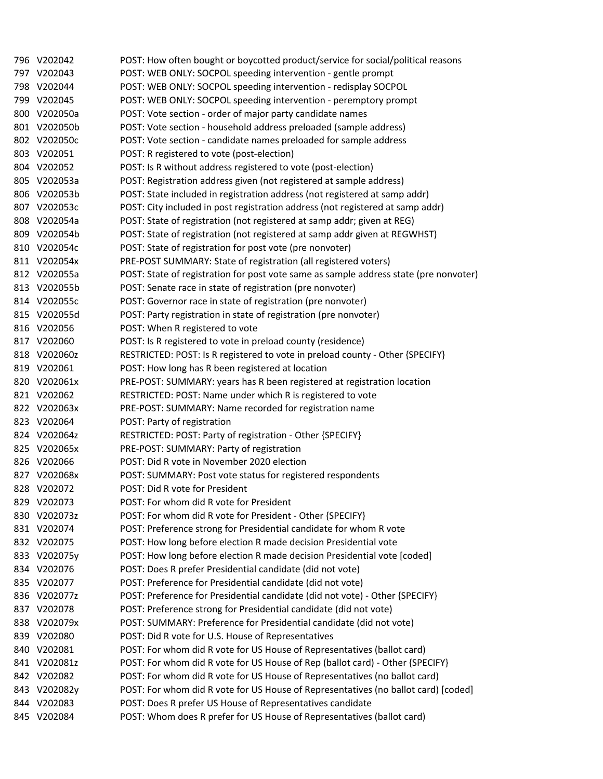|     | 796 V202042  | POST: How often bought or boycotted product/service for social/political reasons      |
|-----|--------------|---------------------------------------------------------------------------------------|
|     | 797 V202043  | POST: WEB ONLY: SOCPOL speeding intervention - gentle prompt                          |
|     | 798 V202044  | POST: WEB ONLY: SOCPOL speeding intervention - redisplay SOCPOL                       |
|     | 799 V202045  | POST: WEB ONLY: SOCPOL speeding intervention - peremptory prompt                      |
|     | 800 V202050a | POST: Vote section - order of major party candidate names                             |
|     | 801 V202050b | POST: Vote section - household address preloaded (sample address)                     |
|     | 802 V202050c | POST: Vote section - candidate names preloaded for sample address                     |
|     | 803 V202051  | POST: R registered to vote (post-election)                                            |
|     | 804 V202052  | POST: Is R without address registered to vote (post-election)                         |
|     | 805 V202053a | POST: Registration address given (not registered at sample address)                   |
|     | 806 V202053b | POST: State included in registration address (not registered at samp addr)            |
|     | 807 V202053c | POST: City included in post registration address (not registered at samp addr)        |
|     | 808 V202054a | POST: State of registration (not registered at samp addr; given at REG)               |
|     | 809 V202054b | POST: State of registration (not registered at samp addr given at REGWHST)            |
|     | 810 V202054c | POST: State of registration for post vote (pre nonvoter)                              |
|     | 811 V202054x | PRE-POST SUMMARY: State of registration (all registered voters)                       |
|     | 812 V202055a | POST: State of registration for post vote same as sample address state (pre nonvoter) |
|     | 813 V202055b | POST: Senate race in state of registration (pre nonvoter)                             |
|     | 814 V202055c | POST: Governor race in state of registration (pre nonvoter)                           |
|     | 815 V202055d | POST: Party registration in state of registration (pre nonvoter)                      |
|     | 816 V202056  | POST: When R registered to vote                                                       |
|     | 817 V202060  | POST: Is R registered to vote in preload county (residence)                           |
|     | 818 V202060z | RESTRICTED: POST: Is R registered to vote in preload county - Other {SPECIFY}         |
|     | 819 V202061  | POST: How long has R been registered at location                                      |
|     | 820 V202061x | PRE-POST: SUMMARY: years has R been registered at registration location               |
|     | 821 V202062  | RESTRICTED: POST: Name under which R is registered to vote                            |
|     | 822 V202063x | PRE-POST: SUMMARY: Name recorded for registration name                                |
|     | 823 V202064  | POST: Party of registration                                                           |
|     | 824 V202064z | RESTRICTED: POST: Party of registration - Other {SPECIFY}                             |
|     | 825 V202065x | PRE-POST: SUMMARY: Party of registration                                              |
|     | 826 V202066  | POST: Did R vote in November 2020 election                                            |
|     | 827 V202068x | POST: SUMMARY: Post vote status for registered respondents                            |
|     | 828 V202072  | POST: Did R vote for President                                                        |
|     | 829 V202073  | POST: For whom did R vote for President                                               |
|     | 830 V202073z | POST: For whom did R vote for President - Other {SPECIFY}                             |
|     | 831 V202074  | POST: Preference strong for Presidential candidate for whom R vote                    |
|     | 832 V202075  | POST: How long before election R made decision Presidential vote                      |
| 833 | V202075y     | POST: How long before election R made decision Presidential vote [coded]              |
| 834 | V202076      | POST: Does R prefer Presidential candidate (did not vote)                             |
| 835 | V202077      | POST: Preference for Presidential candidate (did not vote)                            |
| 836 | V202077z     | POST: Preference for Presidential candidate (did not vote) - Other {SPECIFY}          |
| 837 | V202078      | POST: Preference strong for Presidential candidate (did not vote)                     |
| 838 | V202079x     | POST: SUMMARY: Preference for Presidential candidate (did not vote)                   |
| 839 | V202080      | POST: Did R vote for U.S. House of Representatives                                    |
| 840 | V202081      | POST: For whom did R vote for US House of Representatives (ballot card)               |
|     | 841 V202081z | POST: For whom did R vote for US House of Rep (ballot card) - Other {SPECIFY}         |
|     | 842 V202082  | POST: For whom did R vote for US House of Representatives (no ballot card)            |
|     | 843 V202082y | POST: For whom did R vote for US House of Representatives (no ballot card) [coded]    |
|     | 844 V202083  | POST: Does R prefer US House of Representatives candidate                             |
|     | 845 V202084  | POST: Whom does R prefer for US House of Representatives (ballot card)                |
|     |              |                                                                                       |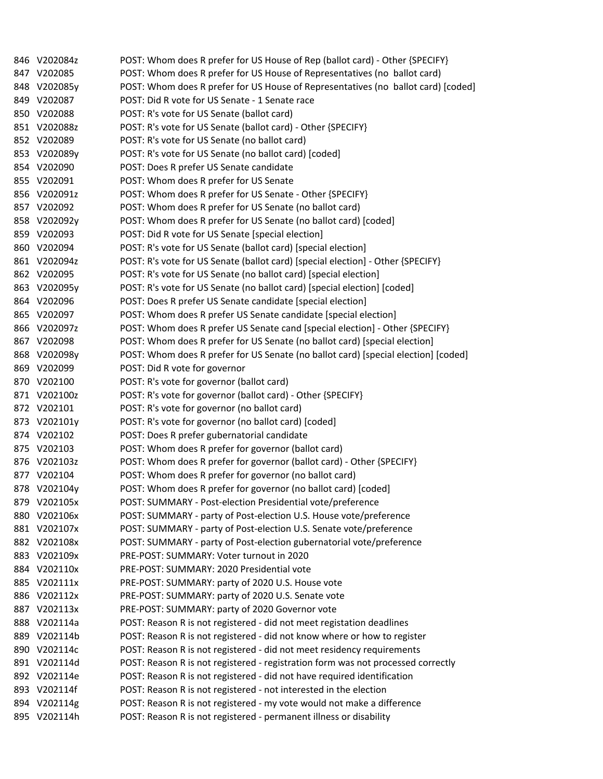|     | 846 V202084z | POST: Whom does R prefer for US House of Rep (ballot card) - Other {SPECIFY}       |
|-----|--------------|------------------------------------------------------------------------------------|
|     | 847 V202085  | POST: Whom does R prefer for US House of Representatives (no ballot card)          |
|     | 848 V202085y | POST: Whom does R prefer for US House of Representatives (no ballot card) [coded]  |
|     | 849 V202087  | POST: Did R vote for US Senate - 1 Senate race                                     |
|     | 850 V202088  | POST: R's vote for US Senate (ballot card)                                         |
|     | 851 V202088z | POST: R's vote for US Senate (ballot card) - Other {SPECIFY}                       |
|     | 852 V202089  | POST: R's vote for US Senate (no ballot card)                                      |
|     | 853 V202089y | POST: R's vote for US Senate (no ballot card) [coded]                              |
|     | 854 V202090  | POST: Does R prefer US Senate candidate                                            |
|     | 855 V202091  | POST: Whom does R prefer for US Senate                                             |
|     | 856 V202091z | POST: Whom does R prefer for US Senate - Other {SPECIFY}                           |
|     | 857 V202092  | POST: Whom does R prefer for US Senate (no ballot card)                            |
| 858 | V202092y     | POST: Whom does R prefer for US Senate (no ballot card) [coded]                    |
|     | 859 V202093  | POST: Did R vote for US Senate [special election]                                  |
|     | 860 V202094  | POST: R's vote for US Senate (ballot card) [special election]                      |
|     | 861 V202094z | POST: R's vote for US Senate (ballot card) [special election] - Other {SPECIFY}    |
|     | 862 V202095  | POST: R's vote for US Senate (no ballot card) [special election]                   |
|     | 863 V202095y | POST: R's vote for US Senate (no ballot card) [special election] [coded]           |
|     | 864 V202096  | POST: Does R prefer US Senate candidate [special election]                         |
|     | 865 V202097  | POST: Whom does R prefer US Senate candidate [special election]                    |
|     | 866 V202097z | POST: Whom does R prefer US Senate cand [special election] - Other {SPECIFY}       |
|     | 867 V202098  | POST: Whom does R prefer for US Senate (no ballot card) [special election]         |
|     | 868 V202098y | POST: Whom does R prefer for US Senate (no ballot card) [special election] [coded] |
|     | 869 V202099  | POST: Did R vote for governor                                                      |
|     | 870 V202100  | POST: R's vote for governor (ballot card)                                          |
|     | 871 V202100z | POST: R's vote for governor (ballot card) - Other {SPECIFY}                        |
|     | 872 V202101  | POST: R's vote for governor (no ballot card)                                       |
|     | 873 V202101y | POST: R's vote for governor (no ballot card) [coded]                               |
|     | 874 V202102  | POST: Does R prefer gubernatorial candidate                                        |
|     | 875 V202103  | POST: Whom does R prefer for governor (ballot card)                                |
|     | 876 V202103z | POST: Whom does R prefer for governor (ballot card) - Other {SPECIFY}              |
|     | 877 V202104  | POST: Whom does R prefer for governor (no ballot card)                             |
|     | 878 V202104y | POST: Whom does R prefer for governor (no ballot card) [coded]                     |
|     | 879 V202105x | POST: SUMMARY - Post-election Presidential vote/preference                         |
| 880 | V202106x     | POST: SUMMARY - party of Post-election U.S. House vote/preference                  |
| 881 | V202107x     | POST: SUMMARY - party of Post-election U.S. Senate vote/preference                 |
|     | 882 V202108x | POST: SUMMARY - party of Post-election gubernatorial vote/preference               |
| 883 | V202109x     | PRE-POST: SUMMARY: Voter turnout in 2020                                           |
| 884 | V202110x     | PRE-POST: SUMMARY: 2020 Presidential vote                                          |
| 885 | V202111x     | PRE-POST: SUMMARY: party of 2020 U.S. House vote                                   |
| 886 | V202112x     | PRE-POST: SUMMARY: party of 2020 U.S. Senate vote                                  |
|     | 887 V202113x | PRE-POST: SUMMARY: party of 2020 Governor vote                                     |
| 888 | V202114a     | POST: Reason R is not registered - did not meet registation deadlines              |
| 889 | V202114b     | POST: Reason R is not registered - did not know where or how to register           |
| 890 | V202114c     | POST: Reason R is not registered - did not meet residency requirements             |
| 891 | V202114d     | POST: Reason R is not registered - registration form was not processed correctly   |
| 892 | V202114e     | POST: Reason R is not registered - did not have required identification            |
| 893 | V202114f     | POST: Reason R is not registered - not interested in the election                  |
|     | 894 V202114g | POST: Reason R is not registered - my vote would not make a difference             |
|     | 895 V202114h | POST: Reason R is not registered - permanent illness or disability                 |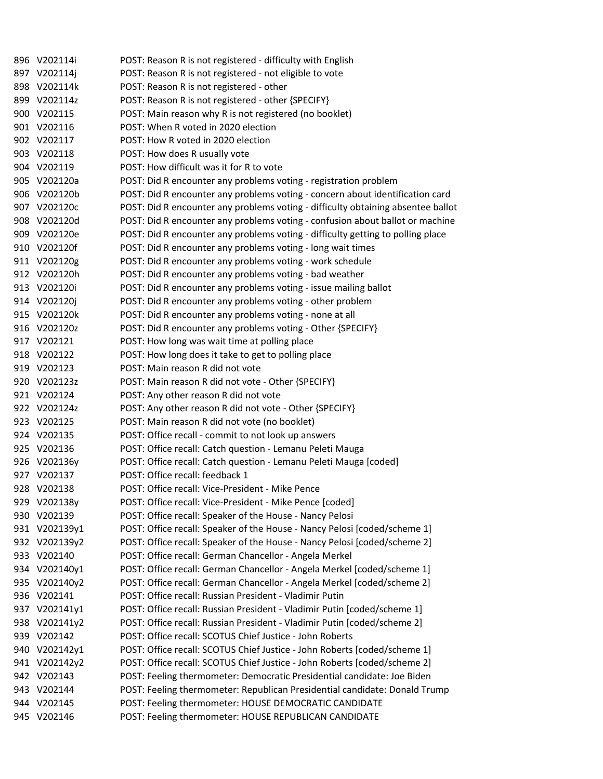|     | 896 V202114i  | POST: Reason R is not registered - difficulty with English                       |
|-----|---------------|----------------------------------------------------------------------------------|
|     | 897 V202114j  | POST: Reason R is not registered - not eligible to vote                          |
|     | 898 V202114k  | POST: Reason R is not registered - other                                         |
|     | 899 V202114z  | POST: Reason R is not registered - other {SPECIFY}                               |
|     | 900 V202115   | POST: Main reason why R is not registered (no booklet)                           |
|     | 901 V202116   | POST: When R voted in 2020 election                                              |
|     | 902 V202117   | POST: How R voted in 2020 election                                               |
|     | 903 V202118   | POST: How does R usually vote                                                    |
|     | 904 V202119   | POST: How difficult was it for R to vote                                         |
|     | 905 V202120a  | POST: Did R encounter any problems voting - registration problem                 |
|     | 906 V202120b  | POST: Did R encounter any problems voting - concern about identification card    |
|     | 907 V202120c  | POST: Did R encounter any problems voting - difficulty obtaining absentee ballot |
|     | 908 V202120d  | POST: Did R encounter any problems voting - confusion about ballot or machine    |
|     | 909 V202120e  | POST: Did R encounter any problems voting - difficulty getting to polling place  |
|     | 910 V202120f  | POST: Did R encounter any problems voting - long wait times                      |
|     | 911 V202120g  | POST: Did R encounter any problems voting - work schedule                        |
|     | 912 V202120h  | POST: Did R encounter any problems voting - bad weather                          |
|     | 913 V202120i  | POST: Did R encounter any problems voting - issue mailing ballot                 |
|     | 914 V202120j  | POST: Did R encounter any problems voting - other problem                        |
|     | 915 V202120k  | POST: Did R encounter any problems voting - none at all                          |
|     | 916 V202120z  | POST: Did R encounter any problems voting - Other {SPECIFY}                      |
|     | 917 V202121   | POST: How long was wait time at polling place                                    |
|     | 918 V202122   | POST: How long does it take to get to polling place                              |
|     | 919 V202123   | POST: Main reason R did not vote                                                 |
|     | 920 V202123z  | POST: Main reason R did not vote - Other {SPECIFY}                               |
|     | 921 V202124   | POST: Any other reason R did not vote                                            |
|     | 922 V202124z  | POST: Any other reason R did not vote - Other {SPECIFY}                          |
|     | 923 V202125   | POST: Main reason R did not vote (no booklet)                                    |
|     | 924 V202135   | POST: Office recall - commit to not look up answers                              |
|     | 925 V202136   | POST: Office recall: Catch question - Lemanu Peleti Mauga                        |
|     | 926 V202136y  | POST: Office recall: Catch question - Lemanu Peleti Mauga [coded]                |
|     | 927 V202137   | POST: Office recall: feedback 1                                                  |
|     | 928 V202138   | POST: Office recall: Vice-President - Mike Pence                                 |
|     | 929 V202138y  | POST: Office recall: Vice-President - Mike Pence [coded]                         |
|     | 930 V202139   | POST: Office recall: Speaker of the House - Nancy Pelosi                         |
|     | 931 V202139y1 | POST: Office recall: Speaker of the House - Nancy Pelosi [coded/scheme 1]        |
|     | 932 V202139y2 | POST: Office recall: Speaker of the House - Nancy Pelosi [coded/scheme 2]        |
|     | 933 V202140   | POST: Office recall: German Chancellor - Angela Merkel                           |
| 934 | V202140y1     | POST: Office recall: German Chancellor - Angela Merkel [coded/scheme 1]          |
| 935 | V202140y2     | POST: Office recall: German Chancellor - Angela Merkel [coded/scheme 2]          |
| 936 | V202141       | POST: Office recall: Russian President - Vladimir Putin                          |
|     | 937 V202141y1 | POST: Office recall: Russian President - Vladimir Putin [coded/scheme 1]         |
|     | 938 V202141y2 | POST: Office recall: Russian President - Vladimir Putin [coded/scheme 2]         |
|     | 939 V202142   | POST: Office recall: SCOTUS Chief Justice - John Roberts                         |
| 940 | V202142y1     | POST: Office recall: SCOTUS Chief Justice - John Roberts [coded/scheme 1]        |
|     | 941 V202142y2 | POST: Office recall: SCOTUS Chief Justice - John Roberts [coded/scheme 2]        |
|     | 942 V202143   | POST: Feeling thermometer: Democratic Presidential candidate: Joe Biden          |
| 943 | V202144       | POST: Feeling thermometer: Republican Presidential candidate: Donald Trump       |
|     | 944 V202145   | POST: Feeling thermometer: HOUSE DEMOCRATIC CANDIDATE                            |
|     | 945 V202146   | POST: Feeling thermometer: HOUSE REPUBLICAN CANDIDATE                            |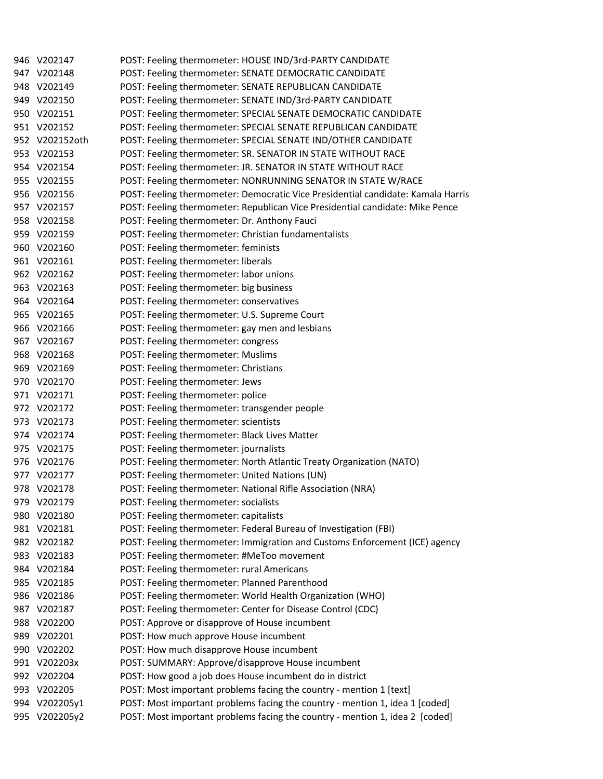|     | 946 V202147    | POST: Feeling thermometer: HOUSE IND/3rd-PARTY CANDIDATE                         |
|-----|----------------|----------------------------------------------------------------------------------|
|     | 947 V202148    | POST: Feeling thermometer: SENATE DEMOCRATIC CANDIDATE                           |
|     | 948 V202149    | POST: Feeling thermometer: SENATE REPUBLICAN CANDIDATE                           |
|     | 949 V202150    | POST: Feeling thermometer: SENATE IND/3rd-PARTY CANDIDATE                        |
|     | 950 V202151    | POST: Feeling thermometer: SPECIAL SENATE DEMOCRATIC CANDIDATE                   |
|     | 951 V202152    | POST: Feeling thermometer: SPECIAL SENATE REPUBLICAN CANDIDATE                   |
|     | 952 V202152oth | POST: Feeling thermometer: SPECIAL SENATE IND/OTHER CANDIDATE                    |
|     | 953 V202153    | POST: Feeling thermometer: SR. SENATOR IN STATE WITHOUT RACE                     |
|     | 954 V202154    | POST: Feeling thermometer: JR. SENATOR IN STATE WITHOUT RACE                     |
|     | 955 V202155    | POST: Feeling thermometer: NONRUNNING SENATOR IN STATE W/RACE                    |
|     | 956 V202156    | POST: Feeling thermometer: Democratic Vice Presidential candidate: Kamala Harris |
|     | 957 V202157    | POST: Feeling thermometer: Republican Vice Presidential candidate: Mike Pence    |
|     | 958 V202158    | POST: Feeling thermometer: Dr. Anthony Fauci                                     |
|     | 959 V202159    | POST: Feeling thermometer: Christian fundamentalists                             |
|     | 960 V202160    | POST: Feeling thermometer: feminists                                             |
|     | 961 V202161    | POST: Feeling thermometer: liberals                                              |
|     | 962 V202162    | POST: Feeling thermometer: labor unions                                          |
|     | 963 V202163    | POST: Feeling thermometer: big business                                          |
|     | 964 V202164    | POST: Feeling thermometer: conservatives                                         |
|     | 965 V202165    | POST: Feeling thermometer: U.S. Supreme Court                                    |
|     | 966 V202166    | POST: Feeling thermometer: gay men and lesbians                                  |
|     | 967 V202167    | POST: Feeling thermometer: congress                                              |
|     | 968 V202168    | POST: Feeling thermometer: Muslims                                               |
|     | 969 V202169    | POST: Feeling thermometer: Christians                                            |
|     | 970 V202170    | POST: Feeling thermometer: Jews                                                  |
|     | 971 V202171    | POST: Feeling thermometer: police                                                |
|     | 972 V202172    | POST: Feeling thermometer: transgender people                                    |
|     | 973 V202173    | POST: Feeling thermometer: scientists                                            |
|     | 974 V202174    | POST: Feeling thermometer: Black Lives Matter                                    |
|     | 975 V202175    | POST: Feeling thermometer: journalists                                           |
|     | 976 V202176    | POST: Feeling thermometer: North Atlantic Treaty Organization (NATO)             |
|     | 977 V202177    | POST: Feeling thermometer: United Nations (UN)                                   |
|     | 978 V202178    | POST: Feeling thermometer: National Rifle Association (NRA)                      |
|     | 979 V202179    | POST: Feeling thermometer: socialists                                            |
|     | 980 V202180    | POST: Feeling thermometer: capitalists                                           |
|     | 981 V202181    | POST: Feeling thermometer: Federal Bureau of Investigation (FBI)                 |
|     | 982 V202182    | POST: Feeling thermometer: Immigration and Customs Enforcement (ICE) agency      |
| 983 | V202183        | POST: Feeling thermometer: #MeToo movement                                       |
| 984 | V202184        | POST: Feeling thermometer: rural Americans                                       |
| 985 | V202185        | POST: Feeling thermometer: Planned Parenthood                                    |
| 986 | V202186        | POST: Feeling thermometer: World Health Organization (WHO)                       |
|     | 987 V202187    | POST: Feeling thermometer: Center for Disease Control (CDC)                      |
| 988 | V202200        | POST: Approve or disapprove of House incumbent                                   |
|     | 989 V202201    | POST: How much approve House incumbent                                           |
| 990 | V202202        | POST: How much disapprove House incumbent                                        |
|     | 991 V202203x   | POST: SUMMARY: Approve/disapprove House incumbent                                |
|     | 992 V202204    | POST: How good a job does House incumbent do in district                         |
| 993 | V202205        | POST: Most important problems facing the country - mention 1 [text]              |
| 994 | V202205y1      | POST: Most important problems facing the country - mention 1, idea 1 [coded]     |
|     | 995 V202205y2  | POST: Most important problems facing the country - mention 1, idea 2 [coded]     |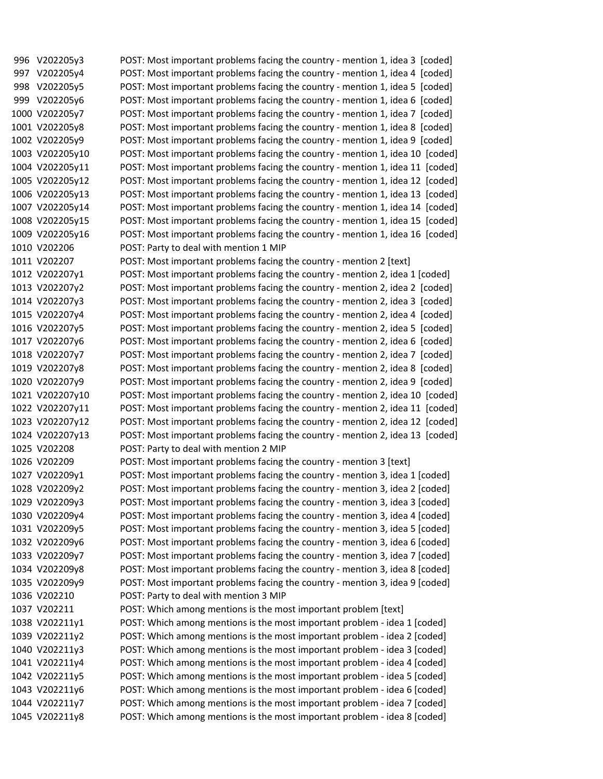996 V202205y3 POST: Most important problems facing the country - mention 1, idea 3 [coded] 997 V202205y4 POST: Most important problems facing the country - mention 1, idea 4 [coded] 998 V202205y5 POST: Most important problems facing the country ‐ mention 1, idea 5 [coded] 999 V202205y6 POST: Most important problems facing the country - mention 1, idea 6 [coded] 1000 V202205y7 POST: Most important problems facing the country ‐ mention 1, idea 7 [coded] 1001 V202205y8 POST: Most important problems facing the country ‐ mention 1, idea 8 [coded] 1002 V202205y9 POST: Most important problems facing the country ‐ mention 1, idea 9 [coded] 1003 V202205y10 POST: Most important problems facing the country ‐ mention 1, idea 10 [coded] 1004 V202205y11 POST: Most important problems facing the country ‐ mention 1, idea 11 [coded] 1005 V202205y12 POST: Most important problems facing the country ‐ mention 1, idea 12 [coded] 1006 V202205y13 POST: Most important problems facing the country ‐ mention 1, idea 13 [coded] 1007 V202205y14 POST: Most important problems facing the country ‐ mention 1, idea 14 [coded] 1008 V202205y15 POST: Most important problems facing the country ‐ mention 1, idea 15 [coded] 1009 V202205y16 POST: Most important problems facing the country ‐ mention 1, idea 16 [coded] 1010 V202206 POST: Party to deal with mention 1 MIP 1011 V202207 POST: Most important problems facing the country ‐ mention 2 [text] 1012 V202207y1 POST: Most important problems facing the country ‐ mention 2, idea 1 [coded] 1013 V202207y2 POST: Most important problems facing the country ‐ mention 2, idea 2 [coded] 1014 V202207y3 POST: Most important problems facing the country ‐ mention 2, idea 3 [coded] 1015 V202207y4 POST: Most important problems facing the country ‐ mention 2, idea 4 [coded] 1016 V202207y5 POST: Most important problems facing the country ‐ mention 2, idea 5 [coded] 1017 V202207y6 POST: Most important problems facing the country ‐ mention 2, idea 6 [coded] 1018 V202207y7 POST: Most important problems facing the country ‐ mention 2, idea 7 [coded] 1019 V202207y8 POST: Most important problems facing the country ‐ mention 2, idea 8 [coded] 1020 V202207y9 POST: Most important problems facing the country ‐ mention 2, idea 9 [coded] 1021 V202207y10 POST: Most important problems facing the country ‐ mention 2, idea 10 [coded] 1022 V202207y11 POST: Most important problems facing the country ‐ mention 2, idea 11 [coded] 1023 V202207y12 POST: Most important problems facing the country ‐ mention 2, idea 12 [coded] 1024 V202207y13 POST: Most important problems facing the country ‐ mention 2, idea 13 [coded] 1025 V202208 POST: Party to deal with mention 2 MIP 1026 V202209 POST: Most important problems facing the country ‐ mention 3 [text] 1027 V202209y1 POST: Most important problems facing the country ‐ mention 3, idea 1 [coded] 1028 V202209y2 POST: Most important problems facing the country ‐ mention 3, idea 2 [coded] 1029 V202209y3 POST: Most important problems facing the country ‐ mention 3, idea 3 [coded] 1030 V202209y4 POST: Most important problems facing the country ‐ mention 3, idea 4 [coded] 1031 V202209y5 POST: Most important problems facing the country ‐ mention 3, idea 5 [coded] 1032 V202209y6 POST: Most important problems facing the country ‐ mention 3, idea 6 [coded] 1033 V202209y7 POST: Most important problems facing the country ‐ mention 3, idea 7 [coded] 1034 V202209y8 POST: Most important problems facing the country ‐ mention 3, idea 8 [coded] 1035 V202209y9 POST: Most important problems facing the country ‐ mention 3, idea 9 [coded] 1036 V202210 POST: Party to deal with mention 3 MIP 1037 V202211 POST: Which among mentions is the most important problem [text] 1038 V202211y1 POST: Which among mentions is the most important problem ‐ idea 1 [coded] 1039 V202211y2 POST: Which among mentions is the most important problem ‐ idea 2 [coded] 1040 V202211y3 POST: Which among mentions is the most important problem ‐ idea 3 [coded] 1041 V202211y4 POST: Which among mentions is the most important problem ‐ idea 4 [coded] 1042 V202211y5 POST: Which among mentions is the most important problem ‐ idea 5 [coded] 1043 V202211y6 POST: Which among mentions is the most important problem ‐ idea 6 [coded] 1044 V202211y7 POST: Which among mentions is the most important problem ‐ idea 7 [coded] 1045 V202211y8 POST: Which among mentions is the most important problem ‐ idea 8 [coded]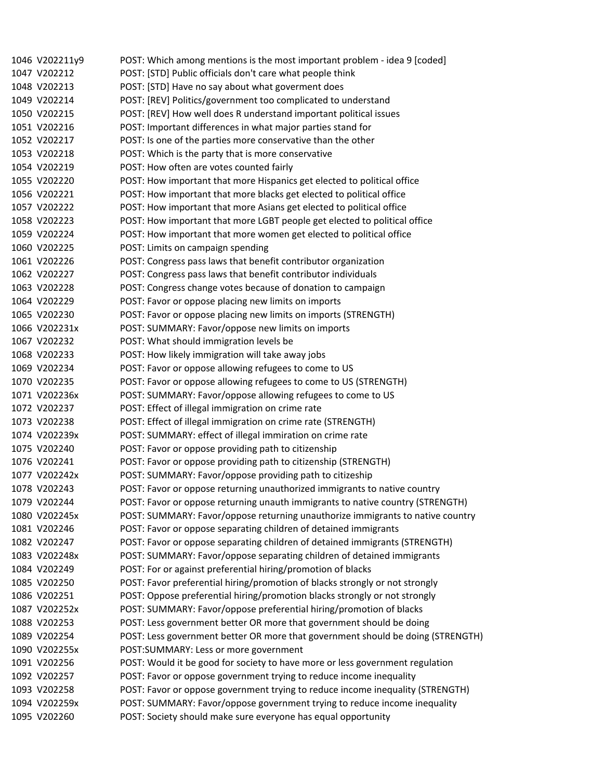| 1046 V202211y9 | POST: Which among mentions is the most important problem - idea 9 [coded]       |
|----------------|---------------------------------------------------------------------------------|
| 1047 V202212   | POST: [STD] Public officials don't care what people think                       |
| 1048 V202213   | POST: [STD] Have no say about what goverment does                               |
| 1049 V202214   | POST: [REV] Politics/government too complicated to understand                   |
| 1050 V202215   | POST: [REV] How well does R understand important political issues               |
| 1051 V202216   | POST: Important differences in what major parties stand for                     |
| 1052 V202217   | POST: Is one of the parties more conservative than the other                    |
| 1053 V202218   | POST: Which is the party that is more conservative                              |
| 1054 V202219   | POST: How often are votes counted fairly                                        |
| 1055 V202220   | POST: How important that more Hispanics get elected to political office         |
| 1056 V202221   | POST: How important that more blacks get elected to political office            |
| 1057 V202222   | POST: How important that more Asians get elected to political office            |
| 1058 V202223   | POST: How important that more LGBT people get elected to political office       |
| 1059 V202224   | POST: How important that more women get elected to political office             |
| 1060 V202225   | POST: Limits on campaign spending                                               |
| 1061 V202226   | POST: Congress pass laws that benefit contributor organization                  |
| 1062 V202227   | POST: Congress pass laws that benefit contributor individuals                   |
| 1063 V202228   | POST: Congress change votes because of donation to campaign                     |
| 1064 V202229   | POST: Favor or oppose placing new limits on imports                             |
| 1065 V202230   | POST: Favor or oppose placing new limits on imports (STRENGTH)                  |
| 1066 V202231x  | POST: SUMMARY: Favor/oppose new limits on imports                               |
| 1067 V202232   | POST: What should immigration levels be                                         |
| 1068 V202233   | POST: How likely immigration will take away jobs                                |
| 1069 V202234   | POST: Favor or oppose allowing refugees to come to US                           |
| 1070 V202235   | POST: Favor or oppose allowing refugees to come to US (STRENGTH)                |
| 1071 V202236x  | POST: SUMMARY: Favor/oppose allowing refugees to come to US                     |
| 1072 V202237   | POST: Effect of illegal immigration on crime rate                               |
| 1073 V202238   | POST: Effect of illegal immigration on crime rate (STRENGTH)                    |
| 1074 V202239x  | POST: SUMMARY: effect of illegal immiration on crime rate                       |
| 1075 V202240   | POST: Favor or oppose providing path to citizenship                             |
| 1076 V202241   | POST: Favor or oppose providing path to citizenship (STRENGTH)                  |
| 1077 V202242x  | POST: SUMMARY: Favor/oppose providing path to citizeship                        |
| 1078 V202243   | POST: Favor or oppose returning unauthorized immigrants to native country       |
| 1079 V202244   | POST: Favor or oppose returning unauth immigrants to native country (STRENGTH)  |
| 1080 V202245x  | POST: SUMMARY: Favor/oppose returning unauthorize immigrants to native country  |
| 1081 V202246   | POST: Favor or oppose separating children of detained immigrants                |
| 1082 V202247   | POST: Favor or oppose separating children of detained immigrants (STRENGTH)     |
| 1083 V202248x  | POST: SUMMARY: Favor/oppose separating children of detained immigrants          |
| 1084 V202249   | POST: For or against preferential hiring/promotion of blacks                    |
| 1085 V202250   | POST: Favor preferential hiring/promotion of blacks strongly or not strongly    |
| 1086 V202251   | POST: Oppose preferential hiring/promotion blacks strongly or not strongly      |
| 1087 V202252x  | POST: SUMMARY: Favor/oppose preferential hiring/promotion of blacks             |
| 1088 V202253   | POST: Less government better OR more that government should be doing            |
| 1089 V202254   | POST: Less government better OR more that government should be doing (STRENGTH) |
| 1090 V202255x  | POST:SUMMARY: Less or more government                                           |
| 1091 V202256   | POST: Would it be good for society to have more or less government regulation   |
| 1092 V202257   | POST: Favor or oppose government trying to reduce income inequality             |
| 1093 V202258   | POST: Favor or oppose government trying to reduce income inequality (STRENGTH)  |
| 1094 V202259x  | POST: SUMMARY: Favor/oppose government trying to reduce income inequality       |
| 1095 V202260   | POST: Society should make sure everyone has equal opportunity                   |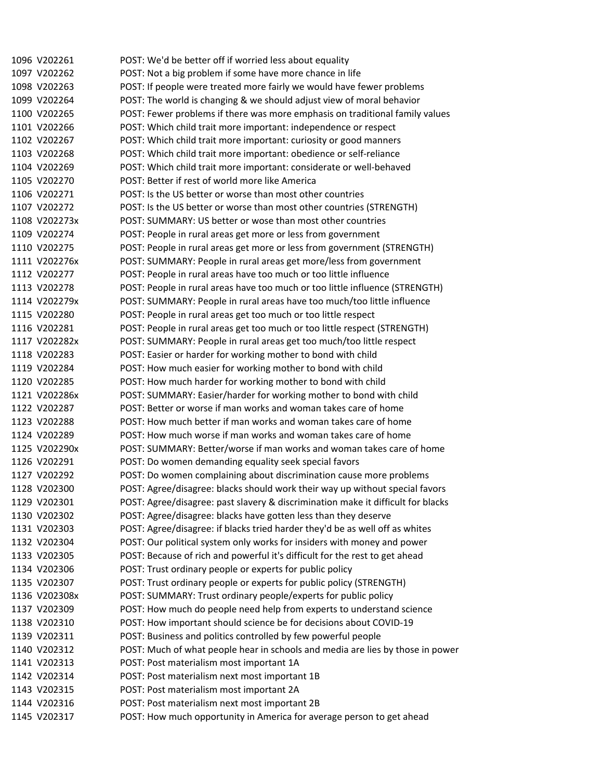1096 V202261 POST: We'd be better off if worried less about equality 1097 V202262 POST: Not a big problem if some have more chance in life 1098 V202263 POST: If people were treated more fairly we would have fewer problems 1099 V202264 POST: The world is changing & we should adjust view of moral behavior 1100 V202265 POST: Fewer problems if there was more emphasis on traditional family values 1101 V202266 POST: Which child trait more important: independence or respect 1102 V202267 POST: Which child trait more important: curiosity or good manners 1103 V202268 POST: Which child trait more important: obedience or self‐reliance 1104 V202269 POST: Which child trait more important: considerate or well‐behaved 1105 V202270 POST: Better if rest of world more like America 1106 V202271 POST: Is the US better or worse than most other countries 1107 V202272 POST: Is the US better or worse than most other countries (STRENGTH) 1108 V202273x POST: SUMMARY: US better or wose than most other countries 1109 V202274 POST: People in rural areas get more or less from government 1110 V202275 POST: People in rural areas get more or less from government (STRENGTH) 1111 V202276x POST: SUMMARY: People in rural areas get more/less from government 1112 V202277 POST: People in rural areas have too much or too little influence 1113 V202278 POST: People in rural areas have too much or too little influence (STRENGTH) 1114 V202279x POST: SUMMARY: People in rural areas have too much/too little influence 1115 V202280 POST: People in rural areas get too much or too little respect 1116 V202281 POST: People in rural areas get too much or too little respect (STRENGTH) 1117 V202282x POST: SUMMARY: People in rural areas get too much/too little respect 1118 V202283 POST: Easier or harder for working mother to bond with child 1119 V202284 POST: How much easier for working mother to bond with child 1120 V202285 POST: How much harder for working mother to bond with child 1121 V202286x POST: SUMMARY: Easier/harder for working mother to bond with child 1122 V202287 POST: Better or worse if man works and woman takes care of home 1123 V202288 POST: How much better if man works and woman takes care of home 1124 V202289 POST: How much worse if man works and woman takes care of home 1125 V202290x POST: SUMMARY: Better/worse if man works and woman takes care of home 1126 V202291 POST: Do women demanding equality seek special favors 1127 V202292 POST: Do women complaining about discrimination cause more problems 1128 V202300 POST: Agree/disagree: blacks should work their way up without special favors 1129 V202301 POST: Agree/disagree: past slavery & discrimination make it difficult for blacks 1130 V202302 POST: Agree/disagree: blacks have gotten less than they deserve 1131 V202303 POST: Agree/disagree: if blacks tried harder they'd be as well off as whites 1132 V202304 POST: Our political system only works for insiders with money and power 1133 V202305 POST: Because of rich and powerful it's difficult for the rest to get ahead 1134 V202306 POST: Trust ordinary people or experts for public policy 1135 V202307 POST: Trust ordinary people or experts for public policy (STRENGTH) 1136 V202308x POST: SUMMARY: Trust ordinary people/experts for public policy 1137 V202309 POST: How much do people need help from experts to understand science 1138 V202310 POST: How important should science be for decisions about COVID‐19 1139 V202311 POST: Business and politics controlled by few powerful people 1140 V202312 POST: Much of what people hear in schools and media are lies by those in power 1141 V202313 POST: Post materialism most important 1A 1142 V202314 POST: Post materialism next most important 1B 1143 V202315 POST: Post materialism most important 2A 1144 V202316 POST: Post materialism next most important 2B 1145 V202317 POST: How much opportunity in America for average person to get ahead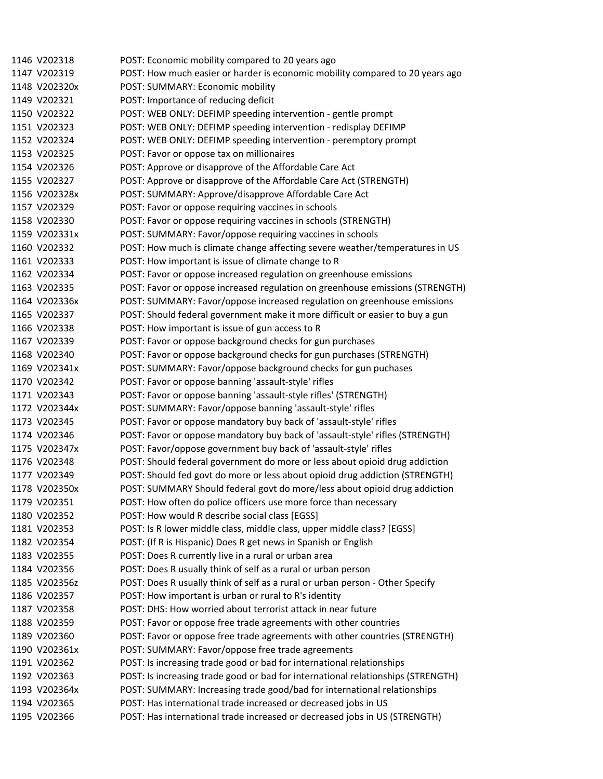| 1146 V202318  | POST: Economic mobility compared to 20 years ago                                 |
|---------------|----------------------------------------------------------------------------------|
| 1147 V202319  | POST: How much easier or harder is economic mobility compared to 20 years ago    |
| 1148 V202320x | POST: SUMMARY: Economic mobility                                                 |
| 1149 V202321  | POST: Importance of reducing deficit                                             |
| 1150 V202322  | POST: WEB ONLY: DEFIMP speeding intervention - gentle prompt                     |
| 1151 V202323  | POST: WEB ONLY: DEFIMP speeding intervention - redisplay DEFIMP                  |
| 1152 V202324  | POST: WEB ONLY: DEFIMP speeding intervention - peremptory prompt                 |
| 1153 V202325  | POST: Favor or oppose tax on millionaires                                        |
| 1154 V202326  | POST: Approve or disapprove of the Affordable Care Act                           |
| 1155 V202327  | POST: Approve or disapprove of the Affordable Care Act (STRENGTH)                |
| 1156 V202328x | POST: SUMMARY: Approve/disapprove Affordable Care Act                            |
| 1157 V202329  | POST: Favor or oppose requiring vaccines in schools                              |
| 1158 V202330  | POST: Favor or oppose requiring vaccines in schools (STRENGTH)                   |
| 1159 V202331x | POST: SUMMARY: Favor/oppose requiring vaccines in schools                        |
| 1160 V202332  | POST: How much is climate change affecting severe weather/temperatures in US     |
| 1161 V202333  | POST: How important is issue of climate change to R                              |
| 1162 V202334  | POST: Favor or oppose increased regulation on greenhouse emissions               |
| 1163 V202335  | POST: Favor or oppose increased regulation on greenhouse emissions (STRENGTH)    |
| 1164 V202336x | POST: SUMMARY: Favor/oppose increased regulation on greenhouse emissions         |
| 1165 V202337  | POST: Should federal government make it more difficult or easier to buy a gun    |
| 1166 V202338  | POST: How important is issue of gun access to R                                  |
| 1167 V202339  | POST: Favor or oppose background checks for gun purchases                        |
| 1168 V202340  | POST: Favor or oppose background checks for gun purchases (STRENGTH)             |
| 1169 V202341x | POST: SUMMARY: Favor/oppose background checks for gun puchases                   |
| 1170 V202342  | POST: Favor or oppose banning 'assault-style' rifles                             |
| 1171 V202343  | POST: Favor or oppose banning 'assault-style rifles' (STRENGTH)                  |
| 1172 V202344x | POST: SUMMARY: Favor/oppose banning 'assault-style' rifles                       |
| 1173 V202345  | POST: Favor or oppose mandatory buy back of 'assault-style' rifles               |
| 1174 V202346  | POST: Favor or oppose mandatory buy back of 'assault-style' rifles (STRENGTH)    |
| 1175 V202347x | POST: Favor/oppose government buy back of 'assault-style' rifles                 |
| 1176 V202348  | POST: Should federal government do more or less about opioid drug addiction      |
| 1177 V202349  | POST: Should fed govt do more or less about opioid drug addiction (STRENGTH)     |
| 1178 V202350x | POST: SUMMARY Should federal govt do more/less about opioid drug addiction       |
| 1179 V202351  | POST: How often do police officers use more force than necessary                 |
| 1180 V202352  | POST: How would R describe social class [EGSS]                                   |
| 1181 V202353  | POST: Is R lower middle class, middle class, upper middle class? [EGSS]          |
| 1182 V202354  | POST: (If R is Hispanic) Does R get news in Spanish or English                   |
| 1183 V202355  | POST: Does R currently live in a rural or urban area                             |
| 1184 V202356  | POST: Does R usually think of self as a rural or urban person                    |
| 1185 V202356z | POST: Does R usually think of self as a rural or urban person - Other Specify    |
| 1186 V202357  | POST: How important is urban or rural to R's identity                            |
| 1187 V202358  | POST: DHS: How worried about terrorist attack in near future                     |
| 1188 V202359  | POST: Favor or oppose free trade agreements with other countries                 |
| 1189 V202360  | POST: Favor or oppose free trade agreements with other countries (STRENGTH)      |
| 1190 V202361x | POST: SUMMARY: Favor/oppose free trade agreements                                |
| 1191 V202362  | POST: Is increasing trade good or bad for international relationships            |
| 1192 V202363  | POST: Is increasing trade good or bad for international relationships (STRENGTH) |
| 1193 V202364x | POST: SUMMARY: Increasing trade good/bad for international relationships         |
| 1194 V202365  | POST: Has international trade increased or decreased jobs in US                  |
| 1195 V202366  | POST: Has international trade increased or decreased jobs in US (STRENGTH)       |
|               |                                                                                  |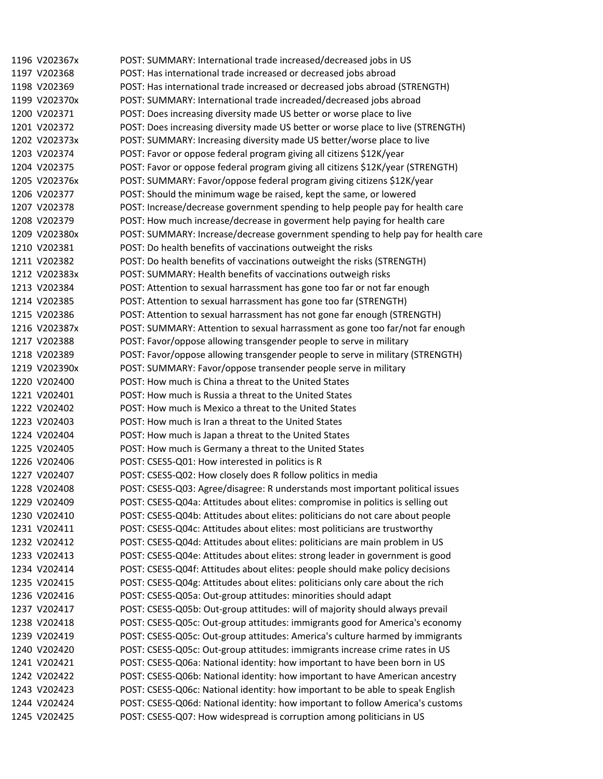1196 V202367x POST: SUMMARY: International trade increased/decreased jobs in US 1197 V202368 POST: Has international trade increased or decreased jobs abroad 1198 V202369 POST: Has international trade increased or decreased jobs abroad (STRENGTH) 1199 V202370x POST: SUMMARY: International trade increaded/decreased jobs abroad 1200 V202371 POST: Does increasing diversity made US better or worse place to live 1201 V202372 POST: Does increasing diversity made US better or worse place to live (STRENGTH) 1202 V202373x POST: SUMMARY: Increasing diversity made US better/worse place to live 1203 V202374 POST: Favor or oppose federal program giving all citizens \$12K/year 1204 V202375 POST: Favor or oppose federal program giving all citizens \$12K/year (STRENGTH) 1205 V202376x POST: SUMMARY: Favor/oppose federal program giving citizens \$12K/year 1206 V202377 POST: Should the minimum wage be raised, kept the same, or lowered 1207 V202378 POST: Increase/decrease government spending to help people pay for health care 1208 V202379 POST: How much increase/decrease in goverment help paying for health care 1209 V202380x POST: SUMMARY: Increase/decrease government spending to help pay for health care 1210 V202381 POST: Do health benefits of vaccinations outweight the risks 1211 V202382 POST: Do health benefits of vaccinations outweight the risks (STRENGTH) 1212 V202383x POST: SUMMARY: Health benefits of vaccinations outweigh risks 1213 V202384 POST: Attention to sexual harrassment has gone too far or not far enough 1214 V202385 POST: Attention to sexual harrassment has gone too far (STRENGTH) 1215 V202386 POST: Attention to sexual harrassment has not gone far enough (STRENGTH) 1216 V202387x POST: SUMMARY: Attention to sexual harrassment as gone too far/not far enough 1217 V202388 POST: Favor/oppose allowing transgender people to serve in military 1218 V202389 POST: Favor/oppose allowing transgender people to serve in military (STRENGTH) 1219 V202390x POST: SUMMARY: Favor/oppose transender people serve in military 1220 V202400 POST: How much is China a threat to the United States 1221 V202401 POST: How much is Russia a threat to the United States 1222 V202402 POST: How much is Mexico a threat to the United States 1223 V202403 POST: How much is Iran a threat to the United States 1224 V202404 POST: How much is Japan a threat to the United States 1225 V202405 POST: How much is Germany a threat to the United States 1226 V202406 POST: CSES5‐Q01: How interested in politics is R 1227 V202407 POST: CSES5‐Q02: How closely does R follow politics in media 1228 V202408 POST: CSES5‐Q03: Agree/disagree: R understands most important political issues 1229 V202409 POST: CSES5‐Q04a: Attitudes about elites: compromise in politics is selling out 1230 V202410 POST: CSES5‐Q04b: Attitudes about elites: politicians do not care about people 1231 V202411 POST: CSES5‐Q04c: Attitudes about elites: most politicians are trustworthy 1232 V202412 POST: CSES5‐Q04d: Attitudes about elites: politicians are main problem in US 1233 V202413 POST: CSES5‐Q04e: Attitudes about elites: strong leader in government is good 1234 V202414 POST: CSES5‐Q04f: Attitudes about elites: people should make policy decisions 1235 V202415 POST: CSES5-Q04g: Attitudes about elites: politicians only care about the rich 1236 V202416 POST: CSES5‐Q05a: Out‐group attitudes: minorities should adapt 1237 V202417 POST: CSES5‐Q05b: Out‐group attitudes: will of majority should always prevail 1238 V202418 POST: CSES5‐Q05c: Out‐group attitudes: immigrants good for America's economy 1239 V202419 POST: CSES5‐Q05c: Out‐group attitudes: America's culture harmed by immigrants 1240 V202420 POST: CSES5‐Q05c: Out‐group attitudes: immigrants increase crime rates in US 1241 V202421 POST: CSES5-Q06a: National identity: how important to have been born in US 1242 V202422 POST: CSES5‐Q06b: National identity: how important to have American ancestry 1243 V202423 POST: CSES5-Q06c: National identity: how important to be able to speak English 1244 V202424 POST: CSES5‐Q06d: National identity: how important to follow America's customs 1245 V202425 POST: CSES5‐Q07: How widespread is corruption among politicians in US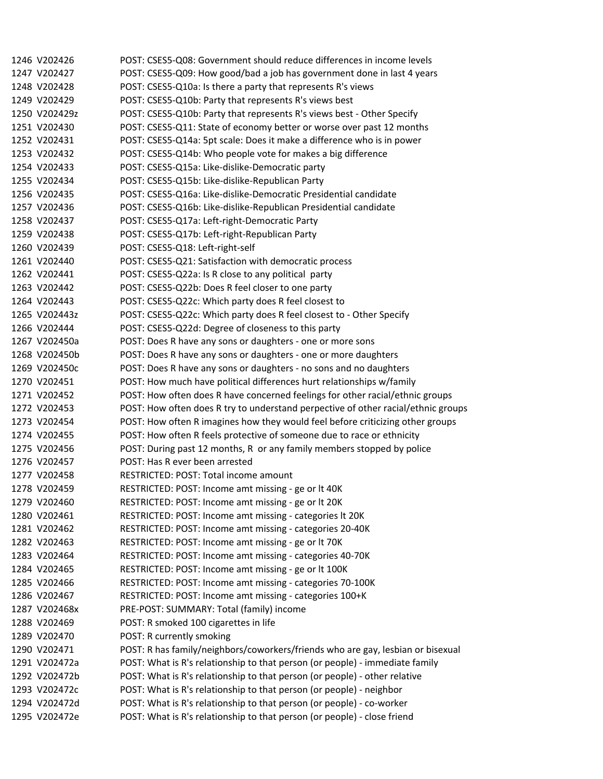| 1246 V202426  | POST: CSES5-Q08: Government should reduce differences in income levels            |
|---------------|-----------------------------------------------------------------------------------|
| 1247 V202427  | POST: CSES5-Q09: How good/bad a job has government done in last 4 years           |
| 1248 V202428  | POST: CSES5-Q10a: Is there a party that represents R's views                      |
| 1249 V202429  | POST: CSES5-Q10b: Party that represents R's views best                            |
| 1250 V202429z | POST: CSES5-Q10b: Party that represents R's views best - Other Specify            |
| 1251 V202430  | POST: CSES5-Q11: State of economy better or worse over past 12 months             |
| 1252 V202431  | POST: CSES5-Q14a: 5pt scale: Does it make a difference who is in power            |
| 1253 V202432  | POST: CSES5-Q14b: Who people vote for makes a big difference                      |
| 1254 V202433  | POST: CSES5-Q15a: Like-dislike-Democratic party                                   |
| 1255 V202434  | POST: CSES5-Q15b: Like-dislike-Republican Party                                   |
| 1256 V202435  | POST: CSES5-Q16a: Like-dislike-Democratic Presidential candidate                  |
| 1257 V202436  | POST: CSES5-Q16b: Like-dislike-Republican Presidential candidate                  |
| 1258 V202437  | POST: CSES5-Q17a: Left-right-Democratic Party                                     |
| 1259 V202438  | POST: CSES5-Q17b: Left-right-Republican Party                                     |
| 1260 V202439  | POST: CSES5-Q18: Left-right-self                                                  |
| 1261 V202440  | POST: CSES5-Q21: Satisfaction with democratic process                             |
| 1262 V202441  | POST: CSES5-Q22a: Is R close to any political party                               |
| 1263 V202442  | POST: CSES5-Q22b: Does R feel closer to one party                                 |
| 1264 V202443  | POST: CSES5-Q22c: Which party does R feel closest to                              |
| 1265 V202443z | POST: CSES5-Q22c: Which party does R feel closest to - Other Specify              |
| 1266 V202444  | POST: CSES5-Q22d: Degree of closeness to this party                               |
| 1267 V202450a | POST: Does R have any sons or daughters - one or more sons                        |
| 1268 V202450b | POST: Does R have any sons or daughters - one or more daughters                   |
| 1269 V202450c | POST: Does R have any sons or daughters - no sons and no daughters                |
| 1270 V202451  | POST: How much have political differences hurt relationships w/family             |
| 1271 V202452  | POST: How often does R have concerned feelings for other racial/ethnic groups     |
| 1272 V202453  | POST: How often does R try to understand perpective of other racial/ethnic groups |
| 1273 V202454  | POST: How often R imagines how they would feel before criticizing other groups    |
| 1274 V202455  | POST: How often R feels protective of someone due to race or ethnicity            |
| 1275 V202456  | POST: During past 12 months, R or any family members stopped by police            |
| 1276 V202457  | POST: Has R ever been arrested                                                    |
| 1277 V202458  | RESTRICTED: POST: Total income amount                                             |
| 1278 V202459  | RESTRICTED: POST: Income amt missing - ge or lt 40K                               |
| 1279 V202460  | RESTRICTED: POST: Income amt missing - ge or It 20K                               |
| 1280 V202461  | RESTRICTED: POST: Income amt missing - categories It 20K                          |
| 1281 V202462  | RESTRICTED: POST: Income amt missing - categories 20-40K                          |
| 1282 V202463  | RESTRICTED: POST: Income amt missing - ge or lt 70K                               |
| 1283 V202464  | RESTRICTED: POST: Income amt missing - categories 40-70K                          |
| 1284 V202465  | RESTRICTED: POST: Income amt missing - ge or lt 100K                              |
| 1285 V202466  | RESTRICTED: POST: Income amt missing - categories 70-100K                         |
| 1286 V202467  | RESTRICTED: POST: Income amt missing - categories 100+K                           |
| 1287 V202468x | PRE-POST: SUMMARY: Total (family) income                                          |
| 1288 V202469  | POST: R smoked 100 cigarettes in life                                             |
| 1289 V202470  | POST: R currently smoking                                                         |
| 1290 V202471  | POST: R has family/neighbors/coworkers/friends who are gay, lesbian or bisexual   |
| 1291 V202472a | POST: What is R's relationship to that person (or people) - immediate family      |
| 1292 V202472b | POST: What is R's relationship to that person (or people) - other relative        |
| 1293 V202472c | POST: What is R's relationship to that person (or people) - neighbor              |
| 1294 V202472d | POST: What is R's relationship to that person (or people) - co-worker             |
| 1295 V202472e | POST: What is R's relationship to that person (or people) - close friend          |
|               |                                                                                   |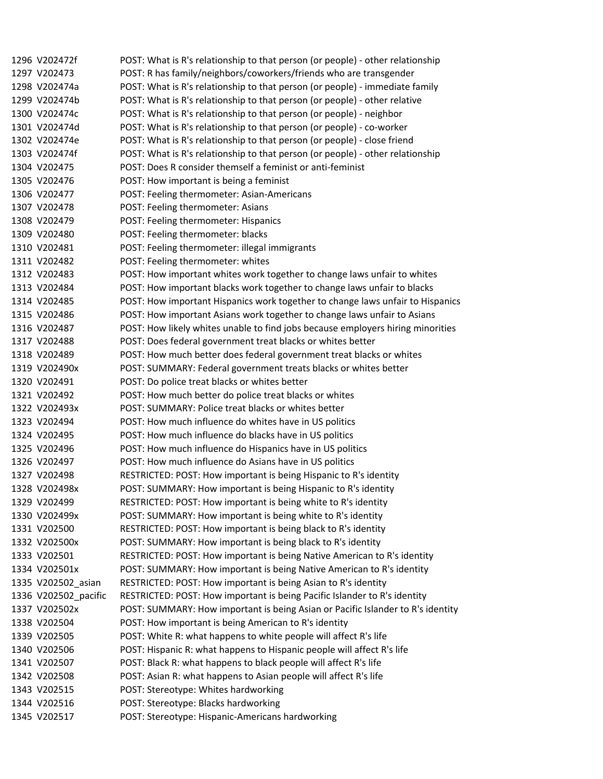1296 V202472f POST: What is R's relationship to that person (or people) - other relationship 1297 V202473 POST: R has family/neighbors/coworkers/friends who are transgender 1298 V202474a POST: What is R's relationship to that person (or people) - immediate family 1299 V202474b POST: What is R's relationship to that person (or people) ‐ other relative 1300 V202474c POST: What is R's relationship to that person (or people) ‐ neighbor 1301 V202474d POST: What is R's relationship to that person (or people) ‐ co‐worker 1302 V202474e POST: What is R's relationship to that person (or people) ‐ close friend 1303 V202474f POST: What is R's relationship to that person (or people) - other relationship 1304 V202475 POST: Does R consider themself a feminist or anti‐feminist 1305 V202476 POST: How important is being a feminist 1306 V202477 POST: Feeling thermometer: Asian‐Americans 1307 V202478 POST: Feeling thermometer: Asians 1308 V202479 POST: Feeling thermometer: Hispanics 1309 V202480 POST: Feeling thermometer: blacks 1310 V202481 POST: Feeling thermometer: illegal immigrants 1311 V202482 POST: Feeling thermometer: whites 1312 V202483 POST: How important whites work together to change laws unfair to whites 1313 V202484 POST: How important blacks work together to change laws unfair to blacks 1314 V202485 POST: How important Hispanics work together to change laws unfair to Hispanics 1315 V202486 POST: How important Asians work together to change laws unfair to Asians 1316 V202487 POST: How likely whites unable to find jobs because employers hiring minorities 1317 V202488 POST: Does federal government treat blacks or whites better 1318 V202489 POST: How much better does federal government treat blacks or whites 1319 V202490x POST: SUMMARY: Federal government treats blacks or whites better 1320 V202491 POST: Do police treat blacks or whites better 1321 V202492 POST: How much better do police treat blacks or whites 1322 V202493x POST: SUMMARY: Police treat blacks or whites better 1323 V202494 POST: How much influence do whites have in US politics 1324 V202495 POST: How much influence do blacks have in US politics 1325 V202496 POST: How much influence do Hispanics have in US politics 1326 V202497 POST: How much influence do Asians have in US politics 1327 V202498 RESTRICTED: POST: How important is being Hispanic to R's identity 1328 V202498x POST: SUMMARY: How important is being Hispanic to R's identity 1329 V202499 RESTRICTED: POST: How important is being white to R's identity 1330 V202499x POST: SUMMARY: How important is being white to R's identity 1331 V202500 RESTRICTED: POST: How important is being black to R's identity 1332 V202500x POST: SUMMARY: How important is being black to R's identity 1333 V202501 RESTRICTED: POST: How important is being Native American to R's identity 1334 V202501x POST: SUMMARY: How important is being Native American to R's identity 1335 V202502\_asian RESTRICTED: POST: How important is being Asian to R's identity 1336 V202502 pacific RESTRICTED: POST: How important is being Pacific Islander to R's identity 1337 V202502x POST: SUMMARY: How important is being Asian or Pacific Islander to R's identity 1338 V202504 POST: How important is being American to R's identity 1339 V202505 POST: White R: what happens to white people will affect R's life 1340 V202506 POST: Hispanic R: what happens to Hispanic people will affect R's life 1341 V202507 POST: Black R: what happens to black people will affect R's life 1342 V202508 POST: Asian R: what happens to Asian people will affect R's life 1343 V202515 POST: Stereotype: Whites hardworking 1344 V202516 POST: Stereotype: Blacks hardworking 1345 V202517 POST: Stereotype: Hispanic‐Americans hardworking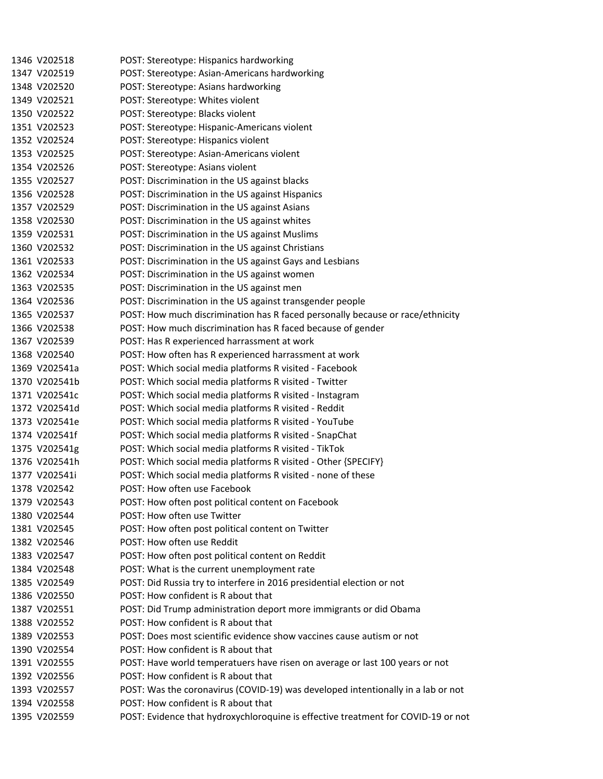1346 V202518 POST: Stereotype: Hispanics hardworking 1347 V202519 POST: Stereotype: Asian‐Americans hardworking 1348 V202520 POST: Stereotype: Asians hardworking 1349 V202521 POST: Stereotype: Whites violent 1350 V202522 POST: Stereotype: Blacks violent 1351 V202523 POST: Stereotype: Hispanic‐Americans violent 1352 V202524 POST: Stereotype: Hispanics violent 1353 V202525 POST: Stereotype: Asian‐Americans violent 1354 V202526 POST: Stereotype: Asians violent 1355 V202527 POST: Discrimination in the US against blacks 1356 V202528 POST: Discrimination in the US against Hispanics 1357 V202529 POST: Discrimination in the US against Asians 1358 V202530 POST: Discrimination in the US against whites 1359 V202531 POST: Discrimination in the US against Muslims 1360 V202532 POST: Discrimination in the US against Christians 1361 V202533 POST: Discrimination in the US against Gays and Lesbians 1362 V202534 POST: Discrimination in the US against women 1363 V202535 POST: Discrimination in the US against men 1364 V202536 POST: Discrimination in the US against transgender people 1365 V202537 POST: How much discrimination has R faced personally because or race/ethnicity 1366 V202538 POST: How much discrimination has R faced because of gender 1367 V202539 POST: Has R experienced harrassment at work 1368 V202540 POST: How often has R experienced harrassment at work 1369 V202541a POST: Which social media platforms R visited ‐ Facebook 1370 V202541b POST: Which social media platforms R visited ‐ Twitter 1371 V202541c POST: Which social media platforms R visited ‐ Instagram 1372 V202541d POST: Which social media platforms R visited ‐ Reddit 1373 V202541e POST: Which social media platforms R visited ‐ YouTube 1374 V202541f POST: Which social media platforms R visited ‐ SnapChat 1375 V202541g POST: Which social media platforms R visited ‐ TikTok 1376 V202541h POST: Which social media platforms R visited ‐ Other {SPECIFY} 1377 V202541i POST: Which social media platforms R visited ‐ none of these 1378 V202542 POST: How often use Facebook 1379 V202543 POST: How often post political content on Facebook 1380 V202544 POST: How often use Twitter 1381 V202545 POST: How often post political content on Twitter 1382 V202546 POST: How often use Reddit 1383 V202547 POST: How often post political content on Reddit 1384 V202548 POST: What is the current unemployment rate 1385 V202549 POST: Did Russia try to interfere in 2016 presidential election or not 1386 V202550 POST: How confident is R about that 1387 V202551 POST: Did Trump administration deport more immigrants or did Obama 1388 V202552 POST: How confident is R about that 1389 V202553 POST: Does most scientific evidence show vaccines cause autism or not 1390 V202554 POST: How confident is R about that 1391 V202555 POST: Have world temperatuers have risen on average or last 100 years or not 1392 V202556 POST: How confident is R about that 1393 V202557 POST: Was the coronavirus (COVID‐19) was developed intentionally in a lab or not 1394 V202558 POST: How confident is R about that 1395 V202559 POST: Evidence that hydroxychloroquine is effective treatment for COVID‐19 or not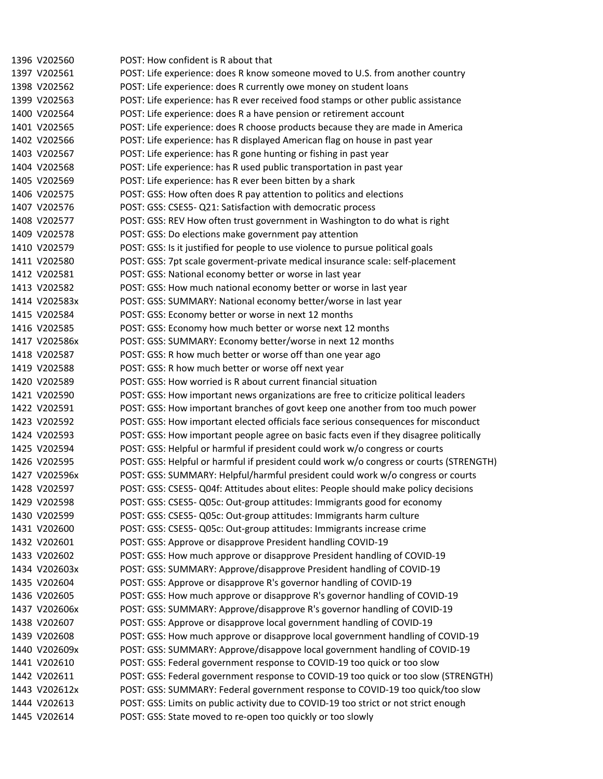1396 V202560 POST: How confident is R about that 1397 V202561 POST: Life experience: does R know someone moved to U.S. from another country 1398 V202562 POST: Life experience: does R currently owe money on student loans 1399 V202563 POST: Life experience: has R ever received food stamps or other public assistance 1400 V202564 POST: Life experience: does R a have pension or retirement account 1401 V202565 POST: Life experience: does R choose products because they are made in America 1402 V202566 POST: Life experience: has R displayed American flag on house in past year 1403 V202567 POST: Life experience: has R gone hunting or fishing in past year 1404 V202568 POST: Life experience: has R used public transportation in past year 1405 V202569 POST: Life experience: has R ever been bitten by a shark 1406 V202575 POST: GSS: How often does R pay attention to politics and elections 1407 V202576 POST: GSS: CSES5‐ Q21: Satisfaction with democratic process 1408 V202577 POST: GSS: REV How often trust government in Washington to do what is right 1409 V202578 POST: GSS: Do elections make government pay attention 1410 V202579 POST: GSS: Is it justified for people to use violence to pursue political goals 1411 V202580 POST: GSS: 7pt scale goverment‐private medical insurance scale: self‐placement 1412 V202581 POST: GSS: National economy better or worse in last year 1413 V202582 POST: GSS: How much national economy better or worse in last year 1414 V202583x POST: GSS: SUMMARY: National economy better/worse in last year 1415 V202584 POST: GSS: Economy better or worse in next 12 months 1416 V202585 POST: GSS: Economy how much better or worse next 12 months 1417 V202586x POST: GSS: SUMMARY: Economy better/worse in next 12 months 1418 V202587 POST: GSS: R how much better or worse off than one year ago 1419 V202588 POST: GSS: R how much better or worse off next year 1420 V202589 POST: GSS: How worried is R about current financial situation 1421 V202590 POST: GSS: How important news organizations are free to criticize political leaders 1422 V202591 POST: GSS: How important branches of govt keep one another from too much power 1423 V202592 POST: GSS: How important elected officials face serious consequences for misconduct 1424 V202593 POST: GSS: How important people agree on basic facts even if they disagree politically 1425 V202594 POST: GSS: Helpful or harmful if president could work w/o congress or courts 1426 V202595 POST: GSS: Helpful or harmful if president could work w/o congress or courts (STRENGTH) 1427 V202596x POST: GSS: SUMMARY: Helpful/harmful president could work w/o congress or courts 1428 V202597 POST: GSS: CSES5‐ Q04f: Attitudes about elites: People should make policy decisions 1429 V202598 POST: GSS: CSES5‐ Q05c: Out‐group attitudes: Immigrants good for economy 1430 V202599 POST: GSS: CSES5‐ Q05c: Out‐group attitudes: Immigrants harm culture 1431 V202600 POST: GSS: CSES5‐ Q05c: Out‐group attitudes: Immigrants increase crime 1432 V202601 POST: GSS: Approve or disapprove President handling COVID‐19 1433 V202602 POST: GSS: How much approve or disapprove President handling of COVID‐19 1434 V202603x POST: GSS: SUMMARY: Approve/disapprove President handling of COVID‐19 1435 V202604 POST: GSS: Approve or disapprove R's governor handling of COVID‐19 1436 V202605 POST: GSS: How much approve or disapprove R's governor handling of COVID‐19 1437 V202606x POST: GSS: SUMMARY: Approve/disapprove R's governor handling of COVID‐19 1438 V202607 POST: GSS: Approve or disapprove local government handling of COVID‐19 1439 V202608 POST: GSS: How much approve or disapprove local government handling of COVID‐19 1440 V202609x POST: GSS: SUMMARY: Approve/disappove local government handling of COVID‐19 1441 V202610 POST: GSS: Federal government response to COVID‐19 too quick or too slow 1442 V202611 POST: GSS: Federal government response to COVID‐19 too quick or too slow (STRENGTH) 1443 V202612x POST: GSS: SUMMARY: Federal government response to COVID‐19 too quick/too slow 1444 V202613 POST: GSS: Limits on public activity due to COVID-19 too strict or not strict enough 1445 V202614 POST: GSS: State moved to re-open too quickly or too slowly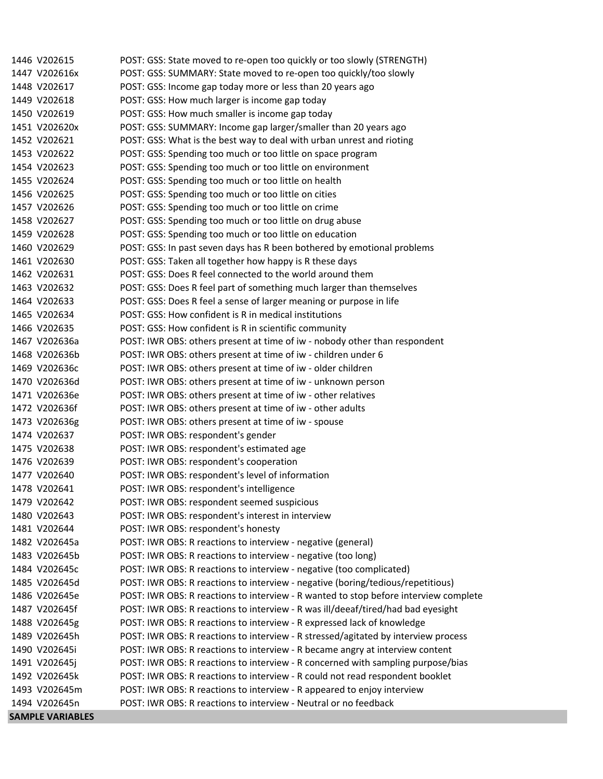| 1446 V202615            | POST: GSS: State moved to re-open too quickly or too slowly (STRENGTH)               |
|-------------------------|--------------------------------------------------------------------------------------|
| 1447 V202616x           | POST: GSS: SUMMARY: State moved to re-open too quickly/too slowly                    |
| 1448 V202617            | POST: GSS: Income gap today more or less than 20 years ago                           |
| 1449 V202618            | POST: GSS: How much larger is income gap today                                       |
| 1450 V202619            | POST: GSS: How much smaller is income gap today                                      |
| 1451 V202620x           | POST: GSS: SUMMARY: Income gap larger/smaller than 20 years ago                      |
| 1452 V202621            | POST: GSS: What is the best way to deal with urban unrest and rioting                |
| 1453 V202622            | POST: GSS: Spending too much or too little on space program                          |
| 1454 V202623            | POST: GSS: Spending too much or too little on environment                            |
| 1455 V202624            | POST: GSS: Spending too much or too little on health                                 |
| 1456 V202625            | POST: GSS: Spending too much or too little on cities                                 |
| 1457 V202626            | POST: GSS: Spending too much or too little on crime                                  |
| 1458 V202627            | POST: GSS: Spending too much or too little on drug abuse                             |
| 1459 V202628            | POST: GSS: Spending too much or too little on education                              |
| 1460 V202629            | POST: GSS: In past seven days has R been bothered by emotional problems              |
| 1461 V202630            | POST: GSS: Taken all together how happy is R these days                              |
| 1462 V202631            | POST: GSS: Does R feel connected to the world around them                            |
| 1463 V202632            | POST: GSS: Does R feel part of something much larger than themselves                 |
| 1464 V202633            | POST: GSS: Does R feel a sense of larger meaning or purpose in life                  |
| 1465 V202634            | POST: GSS: How confident is R in medical institutions                                |
| 1466 V202635            | POST: GSS: How confident is R in scientific community                                |
| 1467 V202636a           | POST: IWR OBS: others present at time of iw - nobody other than respondent           |
| 1468 V202636b           | POST: IWR OBS: others present at time of iw - children under 6                       |
| 1469 V202636c           | POST: IWR OBS: others present at time of iw - older children                         |
| 1470 V202636d           | POST: IWR OBS: others present at time of iw - unknown person                         |
| 1471 V202636e           | POST: IWR OBS: others present at time of iw - other relatives                        |
| 1472 V202636f           | POST: IWR OBS: others present at time of iw - other adults                           |
| 1473 V202636g           | POST: IWR OBS: others present at time of iw - spouse                                 |
| 1474 V202637            | POST: IWR OBS: respondent's gender                                                   |
| 1475 V202638            | POST: IWR OBS: respondent's estimated age                                            |
| 1476 V202639            | POST: IWR OBS: respondent's cooperation                                              |
| 1477 V202640            | POST: IWR OBS: respondent's level of information                                     |
| 1478 V202641            | POST: IWR OBS: respondent's intelligence                                             |
| 1479 V202642            | POST: IWR OBS: respondent seemed suspicious                                          |
| 1480 V202643            | POST: IWR OBS: respondent's interest in interview                                    |
| 1481 V202644            | POST: IWR OBS: respondent's honesty                                                  |
| 1482 V202645a           | POST: IWR OBS: R reactions to interview - negative (general)                         |
| 1483 V202645b           | POST: IWR OBS: R reactions to interview - negative (too long)                        |
| 1484 V202645c           | POST: IWR OBS: R reactions to interview - negative (too complicated)                 |
| 1485 V202645d           | POST: IWR OBS: R reactions to interview - negative (boring/tedious/repetitious)      |
| 1486 V202645e           | POST: IWR OBS: R reactions to interview - R wanted to stop before interview complete |
| 1487 V202645f           | POST: IWR OBS: R reactions to interview - R was ill/deeaf/tired/had bad eyesight     |
| 1488 V202645g           | POST: IWR OBS: R reactions to interview - R expressed lack of knowledge              |
| 1489 V202645h           | POST: IWR OBS: R reactions to interview - R stressed/agitated by interview process   |
| 1490 V202645i           | POST: IWR OBS: R reactions to interview - R became angry at interview content        |
| 1491 V202645j           | POST: IWR OBS: R reactions to interview - R concerned with sampling purpose/bias     |
| 1492 V202645k           | POST: IWR OBS: R reactions to interview - R could not read respondent booklet        |
| 1493 V202645m           | POST: IWR OBS: R reactions to interview - R appeared to enjoy interview              |
| 1494 V202645n           | POST: IWR OBS: R reactions to interview - Neutral or no feedback                     |
| <b>SAMPLE VARIABLES</b> |                                                                                      |
|                         |                                                                                      |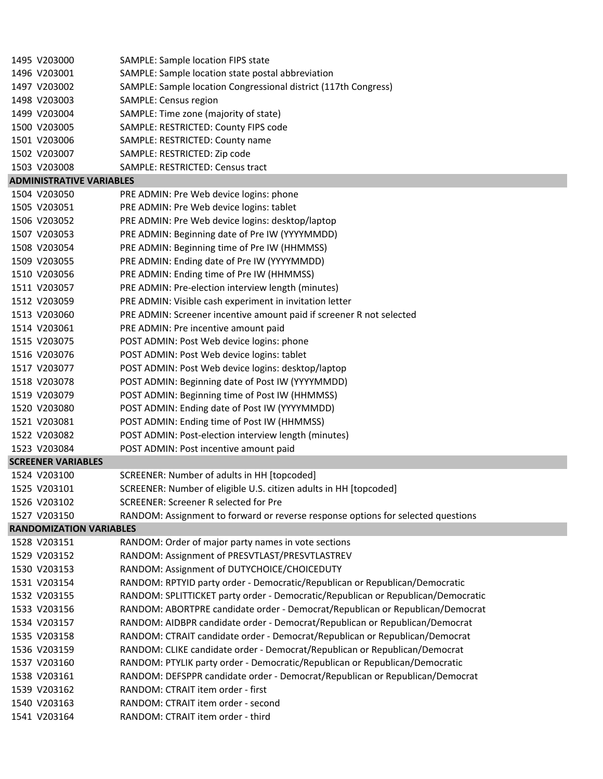| 1495 V203000                    | SAMPLE: Sample location FIPS state                                               |
|---------------------------------|----------------------------------------------------------------------------------|
| 1496 V203001                    | SAMPLE: Sample location state postal abbreviation                                |
| 1497 V203002                    | SAMPLE: Sample location Congressional district (117th Congress)                  |
| 1498 V203003                    | SAMPLE: Census region                                                            |
| 1499 V203004                    | SAMPLE: Time zone (majority of state)                                            |
| 1500 V203005                    | SAMPLE: RESTRICTED: County FIPS code                                             |
| 1501 V203006                    | SAMPLE: RESTRICTED: County name                                                  |
| 1502 V203007                    | SAMPLE: RESTRICTED: Zip code                                                     |
| 1503 V203008                    | SAMPLE: RESTRICTED: Census tract                                                 |
| <b>ADMINISTRATIVE VARIABLES</b> |                                                                                  |
| 1504 V203050                    | PRE ADMIN: Pre Web device logins: phone                                          |
| 1505 V203051                    | PRE ADMIN: Pre Web device logins: tablet                                         |
| 1506 V203052                    | PRE ADMIN: Pre Web device logins: desktop/laptop                                 |
| 1507 V203053                    | PRE ADMIN: Beginning date of Pre IW (YYYYMMDD)                                   |
| 1508 V203054                    | PRE ADMIN: Beginning time of Pre IW (HHMMSS)                                     |
| 1509 V203055                    | PRE ADMIN: Ending date of Pre IW (YYYYMMDD)                                      |
| 1510 V203056                    | PRE ADMIN: Ending time of Pre IW (HHMMSS)                                        |
| 1511 V203057                    | PRE ADMIN: Pre-election interview length (minutes)                               |
| 1512 V203059                    | PRE ADMIN: Visible cash experiment in invitation letter                          |
| 1513 V203060                    | PRE ADMIN: Screener incentive amount paid if screener R not selected             |
| 1514 V203061                    | PRE ADMIN: Pre incentive amount paid                                             |
| 1515 V203075                    | POST ADMIN: Post Web device logins: phone                                        |
| 1516 V203076                    | POST ADMIN: Post Web device logins: tablet                                       |
| 1517 V203077                    | POST ADMIN: Post Web device logins: desktop/laptop                               |
| 1518 V203078                    | POST ADMIN: Beginning date of Post IW (YYYYMMDD)                                 |
| 1519 V203079                    | POST ADMIN: Beginning time of Post IW (HHMMSS)                                   |
| 1520 V203080                    | POST ADMIN: Ending date of Post IW (YYYYMMDD)                                    |
| 1521 V203081                    | POST ADMIN: Ending time of Post IW (HHMMSS)                                      |
| 1522 V203082                    | POST ADMIN: Post-election interview length (minutes)                             |
| 1523 V203084                    | POST ADMIN: Post incentive amount paid                                           |
| <b>SCREENER VARIABLES</b>       |                                                                                  |
| 1524 V203100                    | SCREENER: Number of adults in HH [topcoded]                                      |
| 1525 V203101                    | SCREENER: Number of eligible U.S. citizen adults in HH [topcoded]                |
| 1526 V203102                    | <b>SCREENER: Screener R selected for Pre</b>                                     |
| 1527 V203150                    | RANDOM: Assignment to forward or reverse response options for selected questions |
| <b>RANDOMIZATION VARIABLES</b>  |                                                                                  |
| 1528 V203151                    | RANDOM: Order of major party names in vote sections                              |
| 1529 V203152                    | RANDOM: Assignment of PRESVTLAST/PRESVTLASTREV                                   |
| 1530 V203153                    | RANDOM: Assignment of DUTYCHOICE/CHOICEDUTY                                      |
| 1531 V203154                    | RANDOM: RPTYID party order - Democratic/Republican or Republican/Democratic      |
| 1532 V203155                    | RANDOM: SPLITTICKET party order - Democratic/Republican or Republican/Democratic |
| 1533 V203156                    | RANDOM: ABORTPRE candidate order - Democrat/Republican or Republican/Democrat    |
| 1534 V203157                    | RANDOM: AIDBPR candidate order - Democrat/Republican or Republican/Democrat      |
| 1535 V203158                    | RANDOM: CTRAIT candidate order - Democrat/Republican or Republican/Democrat      |
| 1536 V203159                    | RANDOM: CLIKE candidate order - Democrat/Republican or Republican/Democrat       |
| 1537 V203160                    | RANDOM: PTYLIK party order - Democratic/Republican or Republican/Democratic      |
| 1538 V203161                    | RANDOM: DEFSPPR candidate order - Democrat/Republican or Republican/Democrat     |
| 1539 V203162                    | RANDOM: CTRAIT item order - first                                                |
| 1540 V203163                    | RANDOM: CTRAIT item order - second                                               |
| 1541 V203164                    | RANDOM: CTRAIT item order - third                                                |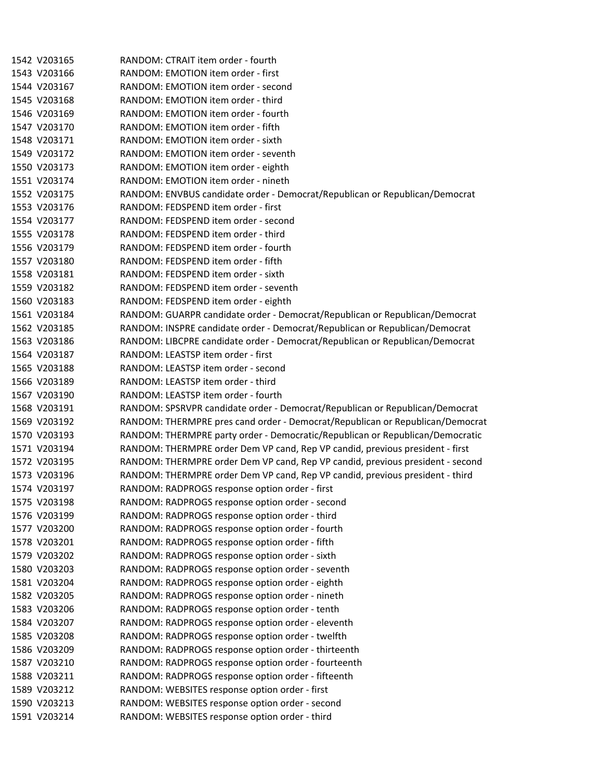1542 V203165 RANDOM: CTRAIT item order ‐ fourth 1543 V203166 RANDOM: EMOTION item order ‐ first 1544 V203167 RANDOM: EMOTION item order ‐ second 1545 V203168 RANDOM: EMOTION item order ‐ third 1546 V203169 RANDOM: EMOTION item order ‐ fourth 1547 V203170 RANDOM: EMOTION item order ‐ fifth 1548 V203171 RANDOM: EMOTION item order ‐ sixth 1549 V203172 RANDOM: EMOTION item order ‐ seventh 1550 V203173 RANDOM: EMOTION item order ‐ eighth 1551 V203174 RANDOM: EMOTION item order ‐ nineth 1552 V203175 RANDOM: ENVBUS candidate order ‐ Democrat/Republican or Republican/Democrat 1553 V203176 RANDOM: FEDSPEND item order ‐ first 1554 V203177 RANDOM: FEDSPEND item order ‐ second 1555 V203178 RANDOM: FEDSPEND item order ‐ third 1556 V203179 RANDOM: FEDSPEND item order ‐ fourth 1557 V203180 RANDOM: FEDSPEND item order ‐ fifth 1558 V203181 RANDOM: FEDSPEND item order ‐ sixth 1559 V203182 RANDOM: FEDSPEND item order ‐ seventh 1560 V203183 RANDOM: FEDSPEND item order ‐ eighth 1561 V203184 RANDOM: GUARPR candidate order ‐ Democrat/Republican or Republican/Democrat 1562 V203185 RANDOM: INSPRE candidate order ‐ Democrat/Republican or Republican/Democrat 1563 V203186 RANDOM: LIBCPRE candidate order ‐ Democrat/Republican or Republican/Democrat 1564 V203187 RANDOM: LEASTSP item order ‐ first 1565 V203188 RANDOM: LEASTSP item order ‐ second 1566 V203189 RANDOM: LEASTSP item order ‐ third 1567 V203190 RANDOM: LEASTSP item order ‐ fourth 1568 V203191 RANDOM: SPSRVPR candidate order ‐ Democrat/Republican or Republican/Democrat 1569 V203192 RANDOM: THERMPRE pres cand order ‐ Democrat/Republican or Republican/Democrat 1570 V203193 RANDOM: THERMPRE party order ‐ Democratic/Republican or Republican/Democratic 1571 V203194 RANDOM: THERMPRE order Dem VP cand, Rep VP candid, previous president ‐ first 1572 V203195 RANDOM: THERMPRE order Dem VP cand, Rep VP candid, previous president ‐ second 1573 V203196 RANDOM: THERMPRE order Dem VP cand, Rep VP candid, previous president ‐ third 1574 V203197 RANDOM: RADPROGS response option order ‐ first 1575 V203198 RANDOM: RADPROGS response option order ‐ second 1576 V203199 RANDOM: RADPROGS response option order ‐ third 1577 V203200 RANDOM: RADPROGS response option order ‐ fourth 1578 V203201 RANDOM: RADPROGS response option order ‐ fifth 1579 V203202 RANDOM: RADPROGS response option order ‐ sixth 1580 V203203 RANDOM: RADPROGS response option order ‐ seventh 1581 V203204 RANDOM: RADPROGS response option order ‐ eighth 1582 V203205 RANDOM: RADPROGS response option order ‐ nineth 1583 V203206 RANDOM: RADPROGS response option order ‐ tenth 1584 V203207 RANDOM: RADPROGS response option order ‐ eleventh 1585 V203208 RANDOM: RADPROGS response option order ‐ twelfth 1586 V203209 RANDOM: RADPROGS response option order ‐ thirteenth 1587 V203210 RANDOM: RADPROGS response option order ‐ fourteenth 1588 V203211 RANDOM: RADPROGS response option order ‐ fifteenth 1589 V203212 RANDOM: WEBSITES response option order ‐ first 1590 V203213 RANDOM: WEBSITES response option order ‐ second 1591 V203214 RANDOM: WEBSITES response option order ‐ third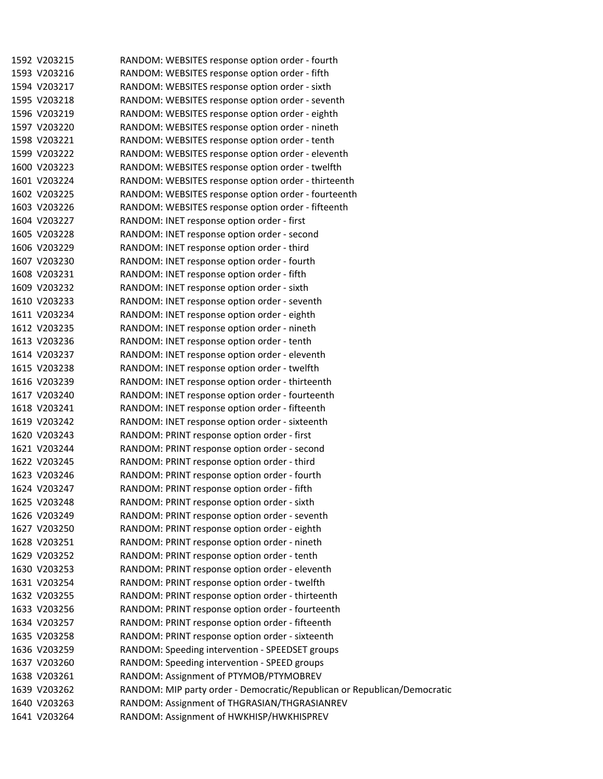|  | 1592 V203215 | RANDOM: WEBSITES response option order - fourth                          |
|--|--------------|--------------------------------------------------------------------------|
|  | 1593 V203216 | RANDOM: WEBSITES response option order - fifth                           |
|  | 1594 V203217 | RANDOM: WEBSITES response option order - sixth                           |
|  | 1595 V203218 | RANDOM: WEBSITES response option order - seventh                         |
|  | 1596 V203219 | RANDOM: WEBSITES response option order - eighth                          |
|  | 1597 V203220 | RANDOM: WEBSITES response option order - nineth                          |
|  | 1598 V203221 | RANDOM: WEBSITES response option order - tenth                           |
|  | 1599 V203222 | RANDOM: WEBSITES response option order - eleventh                        |
|  | 1600 V203223 | RANDOM: WEBSITES response option order - twelfth                         |
|  | 1601 V203224 | RANDOM: WEBSITES response option order - thirteenth                      |
|  | 1602 V203225 | RANDOM: WEBSITES response option order - fourteenth                      |
|  | 1603 V203226 | RANDOM: WEBSITES response option order - fifteenth                       |
|  | 1604 V203227 | RANDOM: INET response option order - first                               |
|  | 1605 V203228 | RANDOM: INET response option order - second                              |
|  | 1606 V203229 | RANDOM: INET response option order - third                               |
|  | 1607 V203230 | RANDOM: INET response option order - fourth                              |
|  | 1608 V203231 | RANDOM: INET response option order - fifth                               |
|  | 1609 V203232 | RANDOM: INET response option order - sixth                               |
|  | 1610 V203233 | RANDOM: INET response option order - seventh                             |
|  | 1611 V203234 | RANDOM: INET response option order - eighth                              |
|  | 1612 V203235 | RANDOM: INET response option order - nineth                              |
|  | 1613 V203236 | RANDOM: INET response option order - tenth                               |
|  | 1614 V203237 | RANDOM: INET response option order - eleventh                            |
|  | 1615 V203238 | RANDOM: INET response option order - twelfth                             |
|  | 1616 V203239 | RANDOM: INET response option order - thirteenth                          |
|  | 1617 V203240 | RANDOM: INET response option order - fourteenth                          |
|  | 1618 V203241 | RANDOM: INET response option order - fifteenth                           |
|  | 1619 V203242 | RANDOM: INET response option order - sixteenth                           |
|  | 1620 V203243 | RANDOM: PRINT response option order - first                              |
|  | 1621 V203244 | RANDOM: PRINT response option order - second                             |
|  | 1622 V203245 | RANDOM: PRINT response option order - third                              |
|  | 1623 V203246 | RANDOM: PRINT response option order - fourth                             |
|  | 1624 V203247 | RANDOM: PRINT response option order - fifth                              |
|  | 1625 V203248 | RANDOM: PRINT response option order - sixth                              |
|  | 1626 V203249 | RANDOM: PRINT response option order - seventh                            |
|  | 1627 V203250 | RANDOM: PRINT response option order - eighth                             |
|  | 1628 V203251 | RANDOM: PRINT response option order - nineth                             |
|  | 1629 V203252 | RANDOM: PRINT response option order - tenth                              |
|  | 1630 V203253 | RANDOM: PRINT response option order - eleventh                           |
|  | 1631 V203254 | RANDOM: PRINT response option order - twelfth                            |
|  | 1632 V203255 | RANDOM: PRINT response option order - thirteenth                         |
|  | 1633 V203256 | RANDOM: PRINT response option order - fourteenth                         |
|  | 1634 V203257 | RANDOM: PRINT response option order - fifteenth                          |
|  | 1635 V203258 | RANDOM: PRINT response option order - sixteenth                          |
|  | 1636 V203259 | RANDOM: Speeding intervention - SPEEDSET groups                          |
|  | 1637 V203260 | RANDOM: Speeding intervention - SPEED groups                             |
|  | 1638 V203261 | RANDOM: Assignment of PTYMOB/PTYMOBREV                                   |
|  | 1639 V203262 | RANDOM: MIP party order - Democratic/Republican or Republican/Democratic |
|  | 1640 V203263 | RANDOM: Assignment of THGRASIAN/THGRASIANREV                             |
|  | 1641 V203264 | RANDOM: Assignment of HWKHISP/HWKHISPREV                                 |
|  |              |                                                                          |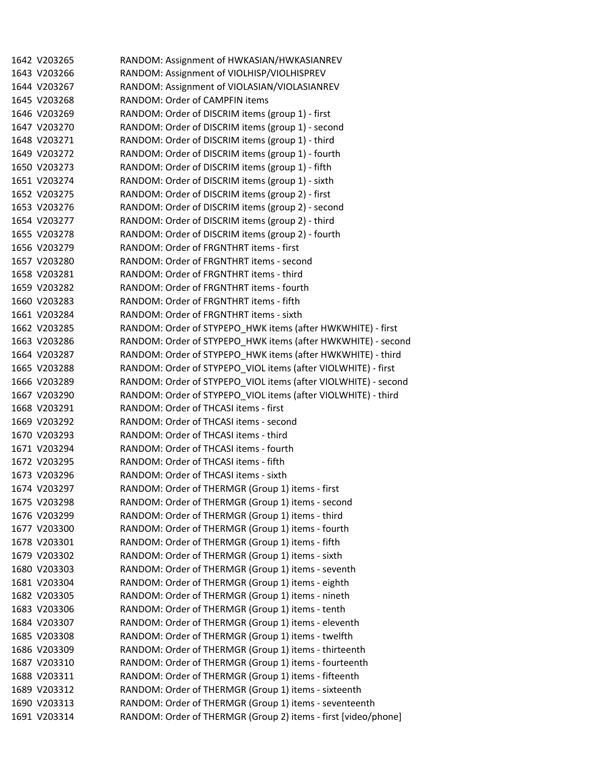1642 V203265 RANDOM: Assignment of HWKASIAN/HWKASIANREV 1643 V203266 RANDOM: Assignment of VIOLHISP/VIOLHISPREV 1644 V203267 RANDOM: Assignment of VIOLASIAN/VIOLASIANREV 1645 V203268 RANDOM: Order of CAMPFIN items 1646 V203269 RANDOM: Order of DISCRIM items (group 1) ‐ first 1647 V203270 RANDOM: Order of DISCRIM items (group 1) ‐ second 1648 V203271 RANDOM: Order of DISCRIM items (group 1) ‐ third 1649 V203272 RANDOM: Order of DISCRIM items (group 1) ‐ fourth 1650 V203273 RANDOM: Order of DISCRIM items (group 1) ‐ fifth 1651 V203274 RANDOM: Order of DISCRIM items (group 1) ‐ sixth 1652 V203275 RANDOM: Order of DISCRIM items (group 2) ‐ first 1653 V203276 RANDOM: Order of DISCRIM items (group 2) ‐ second 1654 V203277 RANDOM: Order of DISCRIM items (group 2) ‐ third 1655 V203278 RANDOM: Order of DISCRIM items (group 2) ‐ fourth 1656 V203279 RANDOM: Order of FRGNTHRT items ‐ first 1657 V203280 RANDOM: Order of FRGNTHRT items ‐ second 1658 V203281 RANDOM: Order of FRGNTHRT items ‐ third 1659 V203282 RANDOM: Order of FRGNTHRT items ‐ fourth 1660 V203283 RANDOM: Order of FRGNTHRT items ‐ fifth 1661 V203284 RANDOM: Order of FRGNTHRT items ‐ sixth 1662 V203285 RANDOM: Order of STYPEPO\_HWK items (after HWKWHITE) ‐ first 1663 V203286 RANDOM: Order of STYPEPO HWK items (after HWKWHITE) - second 1664 V203287 RANDOM: Order of STYPEPO\_HWK items (after HWKWHITE) ‐ third 1665 V203288 RANDOM: Order of STYPEPO\_VIOL items (after VIOLWHITE) ‐ first 1666 V203289 RANDOM: Order of STYPEPO\_VIOL items (after VIOLWHITE) ‐ second 1667 V203290 RANDOM: Order of STYPEPO\_VIOL items (after VIOLWHITE) ‐ third 1668 V203291 RANDOM: Order of THCASI items ‐ first 1669 V203292 RANDOM: Order of THCASI items ‐ second 1670 V203293 RANDOM: Order of THCASI items ‐ third 1671 V203294 RANDOM: Order of THCASI items ‐ fourth 1672 V203295 RANDOM: Order of THCASI items ‐ fifth 1673 V203296 RANDOM: Order of THCASI items ‐ sixth 1674 V203297 RANDOM: Order of THERMGR (Group 1) items ‐ first 1675 V203298 RANDOM: Order of THERMGR (Group 1) items ‐ second 1676 V203299 RANDOM: Order of THERMGR (Group 1) items ‐ third 1677 V203300 RANDOM: Order of THERMGR (Group 1) items ‐ fourth 1678 V203301 RANDOM: Order of THERMGR (Group 1) items ‐ fifth 1679 V203302 RANDOM: Order of THERMGR (Group 1) items ‐ sixth 1680 V203303 RANDOM: Order of THERMGR (Group 1) items ‐ seventh 1681 V203304 RANDOM: Order of THERMGR (Group 1) items ‐ eighth 1682 V203305 RANDOM: Order of THERMGR (Group 1) items ‐ nineth 1683 V203306 RANDOM: Order of THERMGR (Group 1) items ‐ tenth 1684 V203307 RANDOM: Order of THERMGR (Group 1) items ‐ eleventh 1685 V203308 RANDOM: Order of THERMGR (Group 1) items ‐ twelfth 1686 V203309 RANDOM: Order of THERMGR (Group 1) items ‐ thirteenth 1687 V203310 RANDOM: Order of THERMGR (Group 1) items ‐ fourteenth 1688 V203311 RANDOM: Order of THERMGR (Group 1) items ‐ fifteenth 1689 V203312 RANDOM: Order of THERMGR (Group 1) items ‐ sixteenth 1690 V203313 RANDOM: Order of THERMGR (Group 1) items ‐ seventeenth 1691 V203314 RANDOM: Order of THERMGR (Group 2) items ‐ first [video/phone]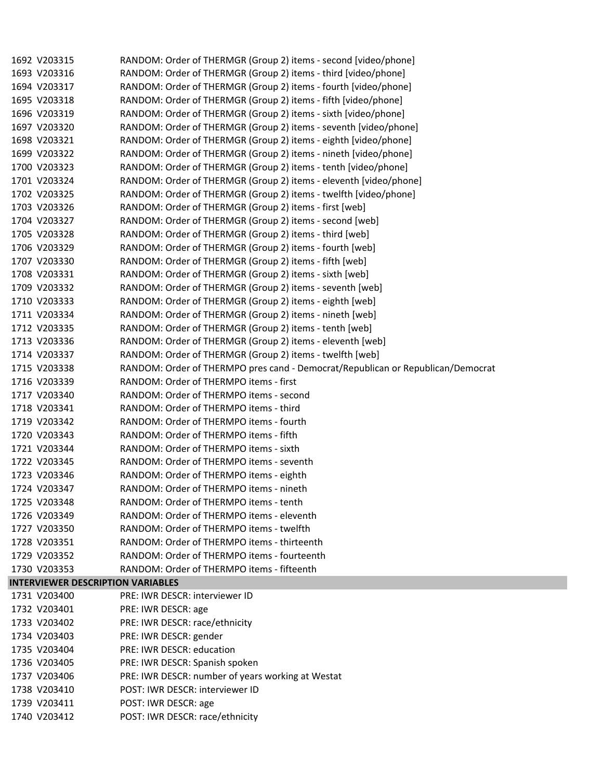| 1692 V203315                             | RANDOM: Order of THERMGR (Group 2) items - second [video/phone]                 |
|------------------------------------------|---------------------------------------------------------------------------------|
| 1693 V203316                             | RANDOM: Order of THERMGR (Group 2) items - third [video/phone]                  |
| 1694 V203317                             | RANDOM: Order of THERMGR (Group 2) items - fourth [video/phone]                 |
| 1695 V203318                             | RANDOM: Order of THERMGR (Group 2) items - fifth [video/phone]                  |
| 1696 V203319                             | RANDOM: Order of THERMGR (Group 2) items - sixth [video/phone]                  |
| 1697 V203320                             | RANDOM: Order of THERMGR (Group 2) items - seventh [video/phone]                |
| 1698 V203321                             | RANDOM: Order of THERMGR (Group 2) items - eighth [video/phone]                 |
| 1699 V203322                             | RANDOM: Order of THERMGR (Group 2) items - nineth [video/phone]                 |
| 1700 V203323                             | RANDOM: Order of THERMGR (Group 2) items - tenth [video/phone]                  |
| 1701 V203324                             | RANDOM: Order of THERMGR (Group 2) items - eleventh [video/phone]               |
| 1702 V203325                             | RANDOM: Order of THERMGR (Group 2) items - twelfth [video/phone]                |
| 1703 V203326                             | RANDOM: Order of THERMGR (Group 2) items - first [web]                          |
| 1704 V203327                             | RANDOM: Order of THERMGR (Group 2) items - second [web]                         |
| 1705 V203328                             | RANDOM: Order of THERMGR (Group 2) items - third [web]                          |
| 1706 V203329                             | RANDOM: Order of THERMGR (Group 2) items - fourth [web]                         |
| 1707 V203330                             | RANDOM: Order of THERMGR (Group 2) items - fifth [web]                          |
| 1708 V203331                             | RANDOM: Order of THERMGR (Group 2) items - sixth [web]                          |
| 1709 V203332                             | RANDOM: Order of THERMGR (Group 2) items - seventh [web]                        |
| 1710 V203333                             | RANDOM: Order of THERMGR (Group 2) items - eighth [web]                         |
| 1711 V203334                             | RANDOM: Order of THERMGR (Group 2) items - nineth [web]                         |
| 1712 V203335                             | RANDOM: Order of THERMGR (Group 2) items - tenth [web]                          |
| 1713 V203336                             | RANDOM: Order of THERMGR (Group 2) items - eleventh [web]                       |
| 1714 V203337                             | RANDOM: Order of THERMGR (Group 2) items - twelfth [web]                        |
| 1715 V203338                             | RANDOM: Order of THERMPO pres cand - Democrat/Republican or Republican/Democrat |
| 1716 V203339                             | RANDOM: Order of THERMPO items - first                                          |
| 1717 V203340                             | RANDOM: Order of THERMPO items - second                                         |
| 1718 V203341                             | RANDOM: Order of THERMPO items - third                                          |
| 1719 V203342                             | RANDOM: Order of THERMPO items - fourth                                         |
| 1720 V203343                             | RANDOM: Order of THERMPO items - fifth                                          |
| 1721 V203344                             | RANDOM: Order of THERMPO items - sixth                                          |
| 1722 V203345                             | RANDOM: Order of THERMPO items - seventh                                        |
| 1723 V203346                             | RANDOM: Order of THERMPO items - eighth                                         |
| 1724 V203347                             | RANDOM: Order of THERMPO items - nineth                                         |
| 1725 V203348                             | RANDOM: Order of THERMPO items - tenth                                          |
| 1726 V203349                             | RANDOM: Order of THERMPO items - eleventh                                       |
| 1727 V203350                             | RANDOM: Order of THERMPO items - twelfth                                        |
| 1728 V203351                             | RANDOM: Order of THERMPO items - thirteenth                                     |
| 1729 V203352                             | RANDOM: Order of THERMPO items - fourteenth                                     |
| 1730 V203353                             | RANDOM: Order of THERMPO items - fifteenth                                      |
| <b>INTERVIEWER DESCRIPTION VARIABLES</b> |                                                                                 |
| 1731 V203400                             | PRE: IWR DESCR: interviewer ID                                                  |
| 1732 V203401                             | PRE: IWR DESCR: age                                                             |
| 1733 V203402                             | PRE: IWR DESCR: race/ethnicity                                                  |
| 1734 V203403                             | PRE: IWR DESCR: gender                                                          |
| 1735 V203404                             | PRE: IWR DESCR: education                                                       |
| 1736 V203405                             | PRE: IWR DESCR: Spanish spoken                                                  |
| 1737 V203406                             | PRE: IWR DESCR: number of years working at Westat                               |
| 1738 V203410                             | POST: IWR DESCR: interviewer ID                                                 |
| 1739 V203411                             | POST: IWR DESCR: age                                                            |
| 1740 V203412                             | POST: IWR DESCR: race/ethnicity                                                 |